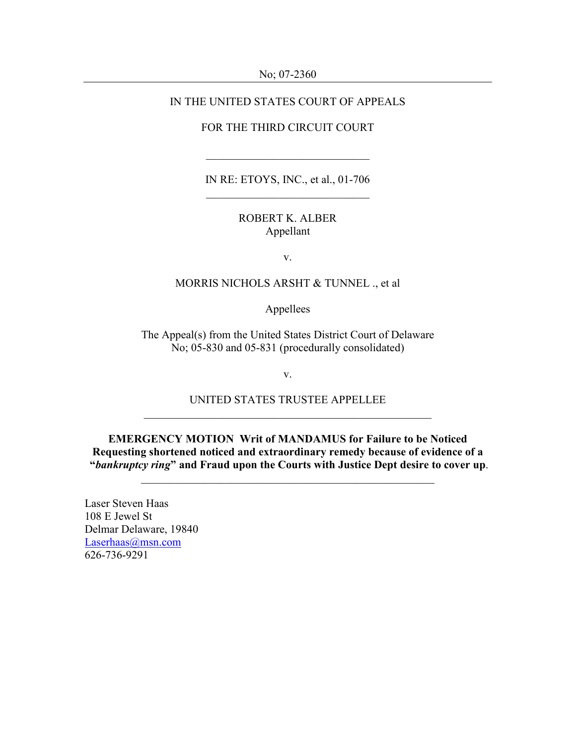No; 07-2360

### IN THE UNITED STATES COURT OF APPEALS

#### FOR THE THIRD CIRCUIT COURT

 $\overline{\phantom{a}}$  ,  $\overline{\phantom{a}}$  ,  $\overline{\phantom{a}}$  ,  $\overline{\phantom{a}}$  ,  $\overline{\phantom{a}}$  ,  $\overline{\phantom{a}}$  ,  $\overline{\phantom{a}}$  ,  $\overline{\phantom{a}}$  ,  $\overline{\phantom{a}}$  ,  $\overline{\phantom{a}}$  ,  $\overline{\phantom{a}}$  ,  $\overline{\phantom{a}}$  ,  $\overline{\phantom{a}}$  ,  $\overline{\phantom{a}}$  ,  $\overline{\phantom{a}}$  ,  $\overline{\phantom{a}}$ 

IN RE: ETOYS, INC., et al., 01-706  $\overline{\phantom{a}}$  , and the set of the set of the set of the set of the set of the set of the set of the set of the set of the set of the set of the set of the set of the set of the set of the set of the set of the set of the s

### ROBERT K. ALBER Appellant

v.

### MORRIS NICHOLS ARSHT & TUNNEL ., et al

Appellees

The Appeal(s) from the United States District Court of Delaware No; 05-830 and 05-831 (procedurally consolidated)

v.

UNITED STATES TRUSTEE APPELLEE \_\_\_\_\_\_\_\_\_\_\_\_\_\_\_\_\_\_\_\_\_\_\_\_\_\_\_\_\_\_\_\_\_\_\_\_\_\_\_\_\_\_\_\_\_\_\_\_\_\_\_

EMERGENCY MOTION Writ of MANDAMUS for Failure to be Noticed Requesting shortened noticed and extraordinary remedy because of evidence of a "bankruptcy ring" and Fraud upon the Courts with Justice Dept desire to cover up.

\_\_\_\_\_\_\_\_\_\_\_\_\_\_\_\_\_\_\_\_\_\_\_\_\_\_\_\_\_\_\_\_\_\_\_\_\_\_\_\_\_\_\_\_\_\_\_\_\_\_\_\_

Laser Steven Haas 108 E Jewel St Delmar Delaware, 19840 Laserhaas@msn.com 626-736-9291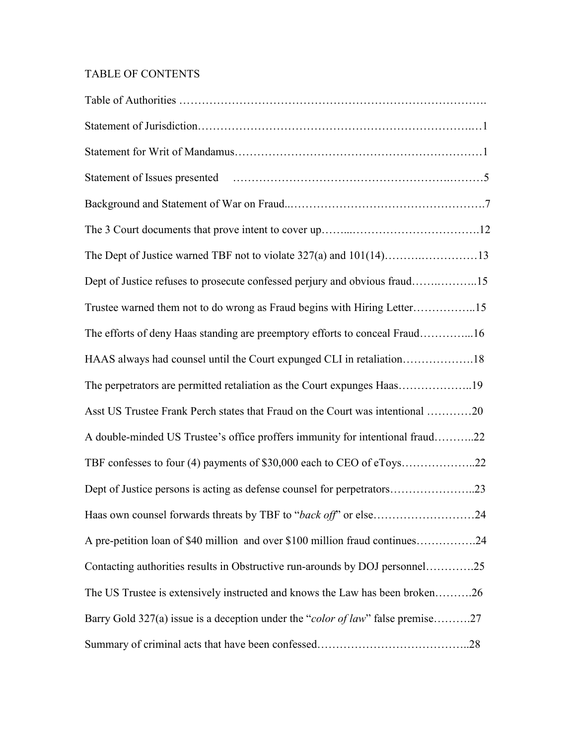# TABLE OF CONTENTS

| Dept of Justice refuses to prosecute confessed perjury and obvious fraud15      |
|---------------------------------------------------------------------------------|
| Trustee warned them not to do wrong as Fraud begins with Hiring Letter15        |
| The efforts of deny Haas standing are preemptory efforts to conceal Fraud16     |
| HAAS always had counsel until the Court expunged CLI in retaliation18           |
| The perpetrators are permitted retaliation as the Court expunges Haas19         |
| Asst US Trustee Frank Perch states that Fraud on the Court was intentional 20   |
| A double-minded US Trustee's office proffers immunity for intentional fraud22   |
| TBF confesses to four (4) payments of \$30,000 each to CEO of eToys22           |
| Dept of Justice persons is acting as defense counsel for perpetrators23         |
|                                                                                 |
| A pre-petition loan of \$40 million and over \$100 million fraud continues24    |
| Contacting authorities results in Obstructive run-arounds by DOJ personnel25    |
| The US Trustee is extensively instructed and knows the Law has been broken26    |
| Barry Gold 327(a) issue is a deception under the "color of law" false premise27 |
|                                                                                 |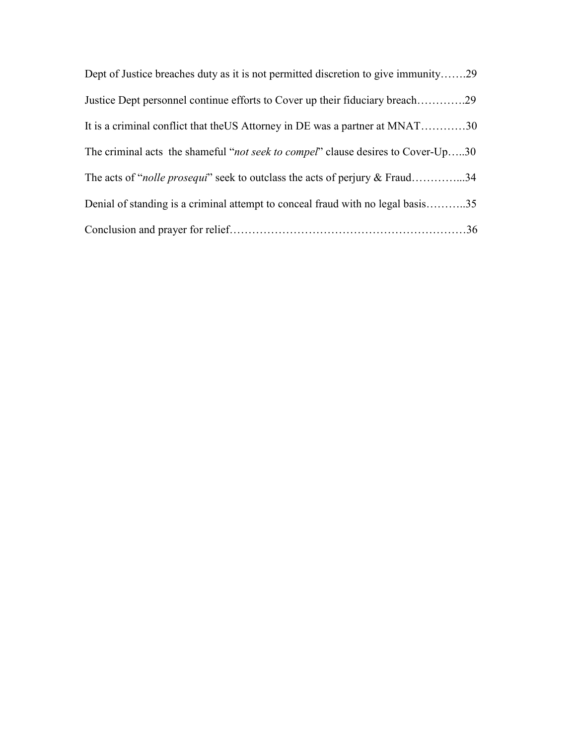| Dept of Justice breaches duty as it is not permitted discretion to give immunity29        |  |
|-------------------------------------------------------------------------------------------|--|
| Justice Dept personnel continue efforts to Cover up their fiduciary breach29              |  |
| It is a criminal conflict that the US Attorney in DE was a partner at MNAT30              |  |
| The criminal acts the shameful " <i>not seek to compel</i> " clause desires to Cover-Up30 |  |
| The acts of " <i>nolle prosequi</i> " seek to outclass the acts of perjury & Fraud34      |  |
| Denial of standing is a criminal attempt to conceal fraud with no legal basis35           |  |
|                                                                                           |  |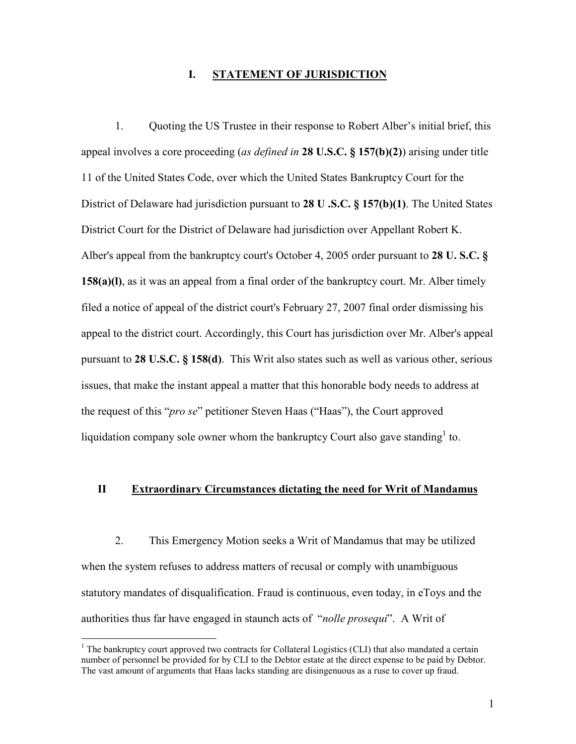#### I. STATEMENT OF JURISDICTION

 1. Quoting the US Trustee in their response to Robert Alber's initial brief, this appeal involves a core proceeding (as defined in 28 U.S.C. § 157(b)(2)) arising under title 11 of the United States Code, over which the United States Bankruptcy Court for the District of Delaware had jurisdiction pursuant to 28 U .S.C. § 157(b)(1). The United States District Court for the District of Delaware had jurisdiction over Appellant Robert K. Alber's appeal from the bankruptcy court's October 4, 2005 order pursuant to 28 U. S.C. § 158(a)(l), as it was an appeal from a final order of the bankruptcy court. Mr. Alber timely filed a notice of appeal of the district court's February 27, 2007 final order dismissing his appeal to the district court. Accordingly, this Court has jurisdiction over Mr. Alber's appeal pursuant to 28 U.S.C. § 158(d). This Writ also states such as well as various other, serious issues, that make the instant appeal a matter that this honorable body needs to address at the request of this "pro se" petitioner Steven Haas ("Haas"), the Court approved liquidation company sole owner whom the bankruptcy Court also gave standing  $1$  to.

#### II Extraordinary Circumstances dictating the need for Writ of Mandamus

 2. This Emergency Motion seeks a Writ of Mandamus that may be utilized when the system refuses to address matters of recusal or comply with unambiguous statutory mandates of disqualification. Fraud is continuous, even today, in eToys and the authorities thus far have engaged in staunch acts of "nolle prosequi". A Writ of

<sup>&</sup>lt;sup>1</sup> The bankruptcy court approved two contracts for Collateral Logistics (CLI) that also mandated a certain number of personnel be provided for by CLI to the Debtor estate at the direct expense to be paid by Debtor. The vast amount of arguments that Haas lacks standing are disingenuous as a ruse to cover up fraud.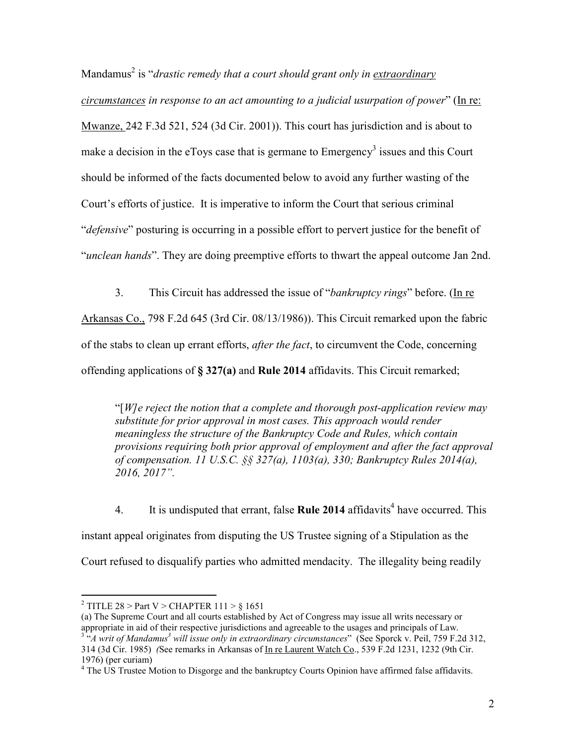Mandamus<sup>2</sup> is "*drastic remedy that a court should grant only in <u>extraordinary</u>* circumstances in response to an act amounting to a judicial usurpation of power" (In re: Mwanze, 242 F.3d 521, 524 (3d Cir. 2001)). This court has jurisdiction and is about to make a decision in the eToys case that is germane to  $\text{Energy}^3$  issues and this Court should be informed of the facts documented below to avoid any further wasting of the Court's efforts of justice. It is imperative to inform the Court that serious criminal "defensive" posturing is occurring in a possible effort to pervert justice for the benefit of "unclean hands". They are doing preemptive efforts to thwart the appeal outcome Jan 2nd.

3. This Circuit has addressed the issue of "bankruptcy rings" before. (In re

Arkansas Co., 798 F.2d 645 (3rd Cir. 08/13/1986)). This Circuit remarked upon the fabric of the stabs to clean up errant efforts, after the fact, to circumvent the Code, concerning offending applications of § 327(a) and Rule 2014 affidavits. This Circuit remarked;

"[ $W$ ]e reject the notion that a complete and thorough post-application review may substitute for prior approval in most cases. This approach would render meaningless the structure of the Bankruptcy Code and Rules, which contain provisions requiring both prior approval of employment and after the fact approval of compensation. 11 U.S.C. §§ 327(a), 1103(a), 330; Bankruptcy Rules 2014(a), 2016, 2017".

4. It is undisputed that errant, false **Rule 2014** affidavits<sup>4</sup> have occurred. This instant appeal originates from disputing the US Trustee signing of a Stipulation as the Court refused to disqualify parties who admitted mendacity. The illegality being readily

<sup>&</sup>lt;sup>2</sup> TITLE 28 > Part V > CHAPTER 111 >  $\S$  1651

<sup>(</sup>a) The Supreme Court and all courts established by Act of Congress may issue all writs necessary or appropriate in aid of their respective jurisdictions and agreeable to the usages and principals of Law.  $3^{3}$ "A writ of Mandamus<sup>3</sup> will issue only in extraordinary circumstances" (See Sporck v. Peil, 759 F.2d 312, 314 (3d Cir. 1985) (See remarks in Arkansas of In re Laurent Watch Co., 539 F.2d 1231, 1232 (9th Cir. 1976) (per curiam)

<sup>&</sup>lt;sup>4</sup> The US Trustee Motion to Disgorge and the bankruptcy Courts Opinion have affirmed false affidavits.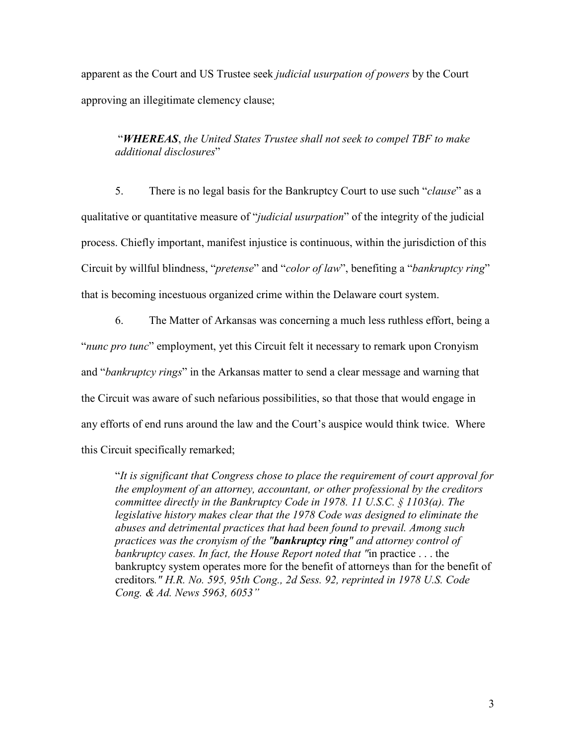apparent as the Court and US Trustee seek judicial usurpation of powers by the Court approving an illegitimate clemency clause;

### "WHEREAS, the United States Trustee shall not seek to compel TBF to make additional disclosures"

5. There is no legal basis for the Bankruptcy Court to use such "*clause*" as a qualitative or quantitative measure of "*judicial usurpation*" of the integrity of the judicial process. Chiefly important, manifest injustice is continuous, within the jurisdiction of this Circuit by willful blindness, "pretense" and "color of law", benefiting a "bankruptcy ring" that is becoming incestuous organized crime within the Delaware court system.

 6. The Matter of Arkansas was concerning a much less ruthless effort, being a "nunc pro tunc" employment, yet this Circuit felt it necessary to remark upon Cronyism and "bankruptcy rings" in the Arkansas matter to send a clear message and warning that the Circuit was aware of such nefarious possibilities, so that those that would engage in any efforts of end runs around the law and the Court's auspice would think twice. Where this Circuit specifically remarked;

 "It is significant that Congress chose to place the requirement of court approval for the employment of an attorney, accountant, or other professional by the creditors committee directly in the Bankruptcy Code in 1978. 11 U.S.C. § 1103(a). The legislative history makes clear that the 1978 Code was designed to eliminate the abuses and detrimental practices that had been found to prevail. Among such practices was the cronyism of the "**bankruptcy ring**" and attorney control of bankruptcy cases. In fact, the House Report noted that "in practice . . . the bankruptcy system operates more for the benefit of attorneys than for the benefit of creditors." H.R. No. 595, 95th Cong., 2d Sess. 92, reprinted in 1978 U.S. Code Cong. & Ad. News 5963, 6053"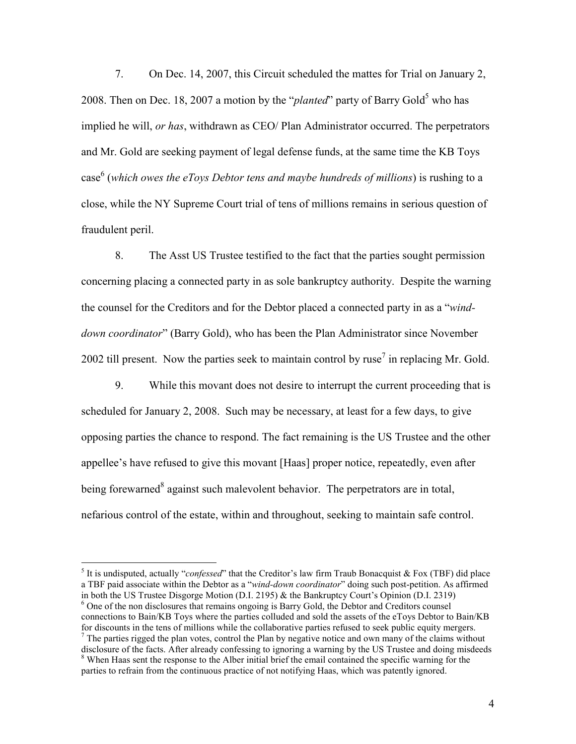7. On Dec. 14, 2007, this Circuit scheduled the mattes for Trial on January 2, 2008. Then on Dec. 18, 2007 a motion by the "*planted*" party of Barry Gold<sup>5</sup> who has implied he will, or has, withdrawn as CEO/ Plan Administrator occurred. The perpetrators and Mr. Gold are seeking payment of legal defense funds, at the same time the KB Toys case<sup>6</sup> (which owes the eToys Debtor tens and maybe hundreds of millions) is rushing to a close, while the NY Supreme Court trial of tens of millions remains in serious question of fraudulent peril.

 8. The Asst US Trustee testified to the fact that the parties sought permission concerning placing a connected party in as sole bankruptcy authority. Despite the warning the counsel for the Creditors and for the Debtor placed a connected party in as a "winddown coordinator" (Barry Gold), who has been the Plan Administrator since November 2002 till present. Now the parties seek to maintain control by ruse<sup>7</sup> in replacing Mr. Gold.

 9. While this movant does not desire to interrupt the current proceeding that is scheduled for January 2, 2008. Such may be necessary, at least for a few days, to give opposing parties the chance to respond. The fact remaining is the US Trustee and the other appellee's have refused to give this movant [Haas] proper notice, repeatedly, even after being forewarned<sup>8</sup> against such malevolent behavior. The perpetrators are in total, nefarious control of the estate, within and throughout, seeking to maintain safe control.

 $\overline{a}$ 

connections to Bain/KB Toys where the parties colluded and sold the assets of the eToys Debtor to Bain/KB for discounts in the tens of millions while the collaborative parties refused to seek public equity mergers.  $<sup>7</sup>$  The parties rigged the plan votes, control the Plan by negative notice and own many of the claims without</sup>

<sup>&</sup>lt;sup>5</sup> It is undisputed, actually "*confessed*" that the Creditor's law firm Traub Bonacquist & Fox (TBF) did place a TBF paid associate within the Debtor as a "wind-down coordinator" doing such post-petition. As affirmed in both the US Trustee Disgorge Motion (D.I. 2195) & the Bankruptcy Court's Opinion (D.I. 2319) <sup>6</sup> One of the non disclosures that remains ongoing is Barry Gold, the Debtor and Creditors counsel

disclosure of the facts. After already confessing to ignoring a warning by the US Trustee and doing misdeeds <sup>8</sup> When Haas sent the response to the Alber initial brief the email contained the specific warning for the parties to refrain from the continuous practice of not notifying Haas, which was patently ignored.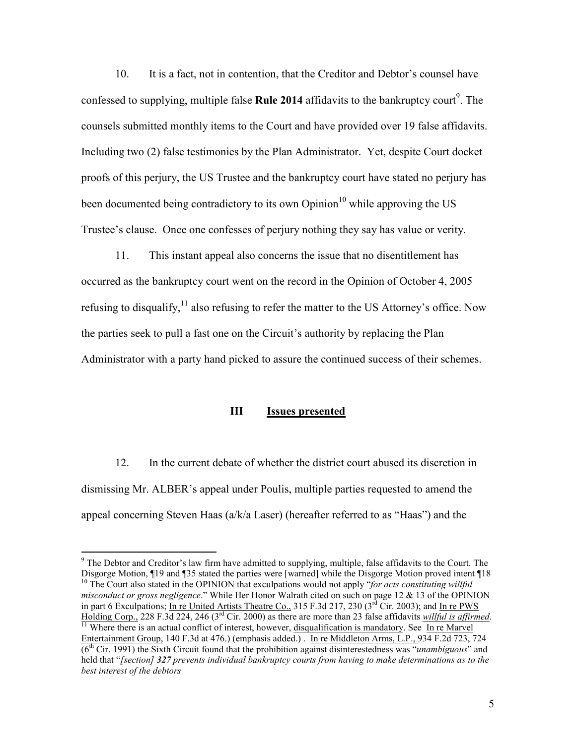10. It is a fact, not in contention, that the Creditor and Debtor's counsel have confessed to supplying, multiple false Rule 2014 affidavits to the bankruptcy court<sup>9</sup>. The counsels submitted monthly items to the Court and have provided over 19 false affidavits. Including two (2) false testimonies by the Plan Administrator. Yet, despite Court docket proofs of this perjury, the US Trustee and the bankruptcy court have stated no perjury has been documented being contradictory to its own  $\text{Opinion}^{10}$  while approving the US Trustee's clause. Once one confesses of perjury nothing they say has value or verity.

 11. This instant appeal also concerns the issue that no disentitlement has occurred as the bankruptcy court went on the record in the Opinion of October 4, 2005 refusing to disqualify,<sup>11</sup> also refusing to refer the matter to the US Attorney's office. Now the parties seek to pull a fast one on the Circuit's authority by replacing the Plan Administrator with a party hand picked to assure the continued success of their schemes.

### III Issues presented

 12. In the current debate of whether the district court abused its discretion in dismissing Mr. ALBER's appeal under Poulis, multiple parties requested to amend the appeal concerning Steven Haas (a/k/a Laser) (hereafter referred to as "Haas") and the

<sup>&</sup>lt;sup>9</sup> The Debtor and Creditor's law firm have admitted to supplying, multiple, false affidavits to the Court. The Disgorge Motion, ¶19 and ¶35 stated the parties were [warned] while the Disgorge Motion proved intent ¶18  $10$  The Court also stated in the OPINION that exculpations would not apply "for acts constituting willful misconduct or gross negligence." While Her Honor Walrath cited on such on page 12 & 13 of the OPINION in part 6 Exculpations; In re United Artists Theatre Co., 315 F.3d 217, 230 ( $3^{rd}$  Cir. 2003); and In re PWS Holding Corp., 228 F.3d 224, 246 (3<sup>rd</sup> Cir. 2000) as there are more than 23 false affidavits willful is affirmed.

 $\frac{11}{11}$  Where there is an actual conflict of interest, however, disqualification is mandatory. See In re Marvel Entertainment Group, 140 F.3d at 476.) (emphasis added.) . In re Middleton Arms, L.P., 934 F.2d 723, 724  $(6<sup>th</sup> Cir. 1991)$  the Sixth Circuit found that the prohibition against disinterestedness was "*unambiguous*" and held that "[section] 327 prevents individual bankruptcy courts from having to make determinations as to the best interest of the debtors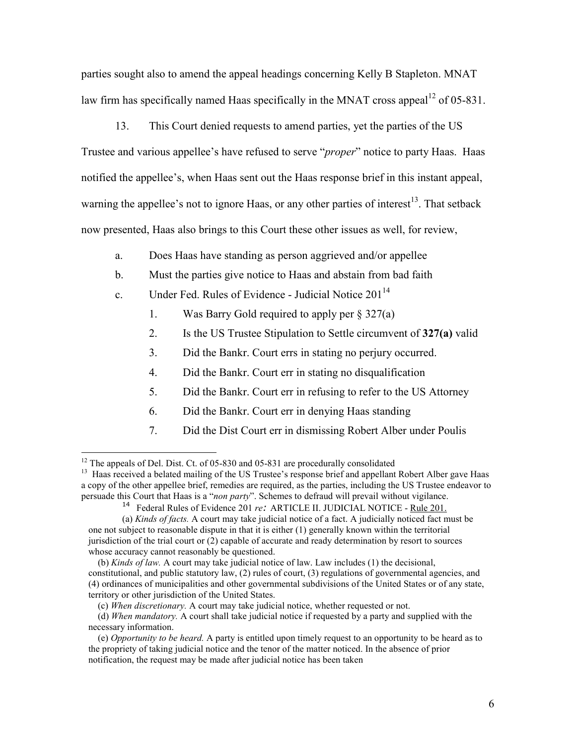parties sought also to amend the appeal headings concerning Kelly B Stapleton. MNAT law firm has specifically named Haas specifically in the MNAT cross appeal<sup>12</sup> of 05-831.

 13. This Court denied requests to amend parties, yet the parties of the US Trustee and various appellee's have refused to serve "proper" notice to party Haas. Haas notified the appellee's, when Haas sent out the Haas response brief in this instant appeal, warning the appellee's not to ignore Haas, or any other parties of interest<sup>13</sup>. That setback now presented, Haas also brings to this Court these other issues as well, for review,

- a. Does Haas have standing as person aggrieved and/or appellee
- b. Must the parties give notice to Haas and abstain from bad faith
- c. Under Fed. Rules of Evidence Judicial Notice  $201^{14}$ 
	- 1. Was Barry Gold required to apply per  $\S 327(a)$
	- 2. Is the US Trustee Stipulation to Settle circumvent of 327(a) valid
	- 3. Did the Bankr. Court errs in stating no perjury occurred.
	- 4. Did the Bankr. Court err in stating no disqualification
	- 5. Did the Bankr. Court err in refusing to refer to the US Attorney
	- 6. Did the Bankr. Court err in denying Haas standing
	- 7. Did the Dist Court err in dismissing Robert Alber under Poulis

 $12$  The appeals of Del. Dist. Ct. of 05-830 and 05-831 are procedurally consolidated

<sup>&</sup>lt;sup>13</sup> Haas received a belated mailing of the US Trustee's response brief and appellant Robert Alber gave Haas a copy of the other appellee brief, remedies are required, as the parties, including the US Trustee endeavor to persuade this Court that Haas is a "non party". Schemes to defraud will prevail without vigilance.

<sup>&</sup>lt;sup>14</sup> Federal Rules of Evidence 201 re: ARTICLE II. JUDICIAL NOTICE - Rule 201.

<sup>(</sup>a) Kinds of facts. A court may take judicial notice of a fact. A judicially noticed fact must be one not subject to reasonable dispute in that it is either (1) generally known within the territorial jurisdiction of the trial court or (2) capable of accurate and ready determination by resort to sources whose accuracy cannot reasonably be questioned.

 <sup>(</sup>b) Kinds of law. A court may take judicial notice of law. Law includes (1) the decisional, constitutional, and public statutory law, (2) rules of court, (3) regulations of governmental agencies, and (4) ordinances of municipalities and other governmental subdivisions of the United States or of any state, territory or other jurisdiction of the United States.

 <sup>(</sup>c) When discretionary. A court may take judicial notice, whether requested or not.

<sup>(</sup>d) When mandatory. A court shall take judicial notice if requested by a party and supplied with the necessary information.

<sup>(</sup>e) Opportunity to be heard. A party is entitled upon timely request to an opportunity to be heard as to the propriety of taking judicial notice and the tenor of the matter noticed. In the absence of prior notification, the request may be made after judicial notice has been taken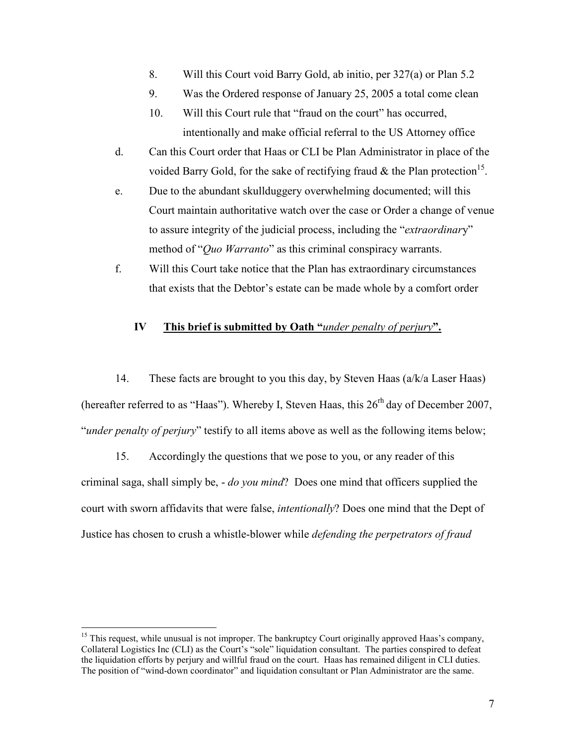- 8. Will this Court void Barry Gold, ab initio, per 327(a) or Plan 5.2
- 9. Was the Ordered response of January 25, 2005 a total come clean
- 10. Will this Court rule that "fraud on the court" has occurred, intentionally and make official referral to the US Attorney office
- d. Can this Court order that Haas or CLI be Plan Administrator in place of the voided Barry Gold, for the sake of rectifying fraud  $\&$  the Plan protection<sup>15</sup>.
- e. Due to the abundant skullduggery overwhelming documented; will this Court maintain authoritative watch over the case or Order a change of venue to assure integrity of the judicial process, including the "extraordinary" method of "*Quo Warranto*" as this criminal conspiracy warrants.
- f. Will this Court take notice that the Plan has extraordinary circumstances that exists that the Debtor's estate can be made whole by a comfort order

### IV This brief is submitted by Oath "under penalty of perjury".

 14. These facts are brought to you this day, by Steven Haas (a/k/a Laser Haas) (hereafter referred to as "Haas"). Whereby I, Steven Haas, this  $26<sup>rh</sup>$  day of December 2007, "under penalty of perjury" testify to all items above as well as the following items below;

 15. Accordingly the questions that we pose to you, or any reader of this criminal saga, shall simply be, - do you mind? Does one mind that officers supplied the court with sworn affidavits that were false, intentionally? Does one mind that the Dept of Justice has chosen to crush a whistle-blower while defending the perpetrators of fraud

 $15$  This request, while unusual is not improper. The bankruptcy Court originally approved Haas's company, Collateral Logistics Inc (CLI) as the Court's "sole" liquidation consultant. The parties conspired to defeat the liquidation efforts by perjury and willful fraud on the court. Haas has remained diligent in CLI duties. The position of "wind-down coordinator" and liquidation consultant or Plan Administrator are the same.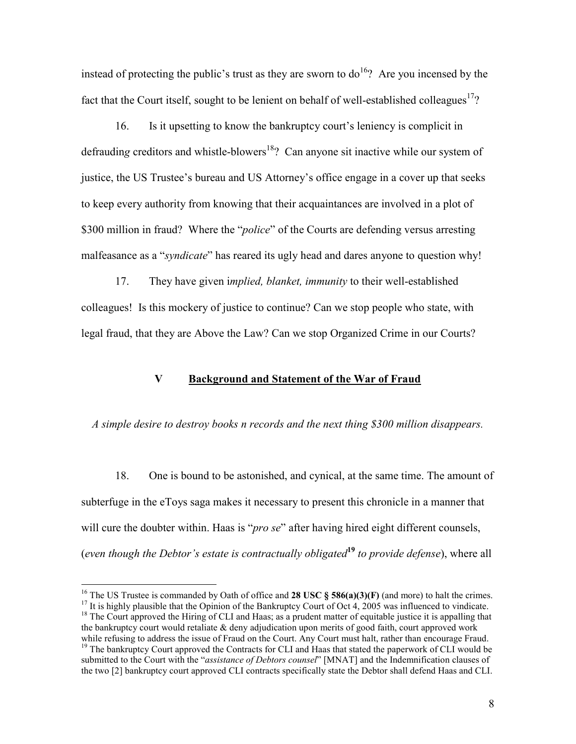instead of protecting the public's trust as they are sworn to  $d_0$ <sup>16</sup>? Are you incensed by the fact that the Court itself, sought to be lenient on behalf of well-established colleagues<sup>17</sup>?

 16. Is it upsetting to know the bankruptcy court's leniency is complicit in defrauding creditors and whistle-blowers<sup>18</sup>? Can anyone sit inactive while our system of justice, the US Trustee's bureau and US Attorney's office engage in a cover up that seeks to keep every authority from knowing that their acquaintances are involved in a plot of \$300 million in fraud? Where the "*police*" of the Courts are defending versus arresting malfeasance as a "*syndicate*" has reared its ugly head and dares anyone to question why!

 17. They have given implied, blanket, immunity to their well-established colleagues! Is this mockery of justice to continue? Can we stop people who state, with legal fraud, that they are Above the Law? Can we stop Organized Crime in our Courts?

### V Background and Statement of the War of Fraud

A simple desire to destroy books n records and the next thing \$300 million disappears.

 18. One is bound to be astonished, and cynical, at the same time. The amount of subterfuge in the eToys saga makes it necessary to present this chronicle in a manner that will cure the doubter within. Haas is "*pro se*" after having hired eight different counsels, (even though the Debtor's estate is contractually obligated<sup>19</sup> to provide defense), where all

<sup>&</sup>lt;sup>16</sup> The US Trustee is commanded by Oath of office and **28 USC § 586(a)(3)(F)** (and more) to halt the crimes.

<sup>&</sup>lt;sup>17</sup> It is highly plausible that the Opinion of the Bankruptcy Court of Oct 4, 2005 was influenced to vindicate. <sup>18</sup> The Court approved the Hiring of CLI and Haas; as a prudent matter of equitable justice it is appalling that

the bankruptcy court would retaliate & deny adjudication upon merits of good faith, court approved work while refusing to address the issue of Fraud on the Court. Any Court must halt, rather than encourage Fraud.

<sup>&</sup>lt;sup>19</sup> The bankruptcy Court approved the Contracts for CLI and Haas that stated the paperwork of CLI would be submitted to the Court with the "assistance of Debtors counsel" [MNAT] and the Indemnification clauses of the two [2] bankruptcy court approved CLI contracts specifically state the Debtor shall defend Haas and CLI.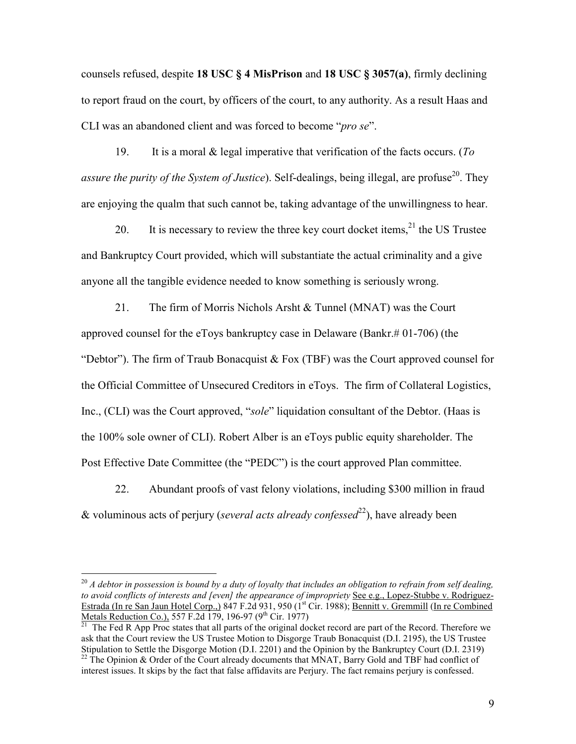counsels refused, despite 18 USC § 4 MisPrison and 18 USC § 3057(a), firmly declining to report fraud on the court, by officers of the court, to any authority. As a result Haas and CLI was an abandoned client and was forced to become "pro se".

19. It is a moral  $\&$  legal imperative that verification of the facts occurs. (To assure the purity of the System of Justice). Self-dealings, being illegal, are profuse<sup>20</sup>. They are enjoying the qualm that such cannot be, taking advantage of the unwillingness to hear.

20. It is necessary to review the three key court docket items,  $2<sup>1</sup>$  the US Trustee and Bankruptcy Court provided, which will substantiate the actual criminality and a give anyone all the tangible evidence needed to know something is seriously wrong.

 21. The firm of Morris Nichols Arsht & Tunnel (MNAT) was the Court approved counsel for the eToys bankruptcy case in Delaware (Bankr.# 01-706) (the "Debtor"). The firm of Traub Bonacquist  $& Fox$  (TBF) was the Court approved counsel for the Official Committee of Unsecured Creditors in eToys. The firm of Collateral Logistics, Inc., (CLI) was the Court approved, "sole" liquidation consultant of the Debtor. (Haas is the 100% sole owner of CLI). Robert Alber is an eToys public equity shareholder. The Post Effective Date Committee (the "PEDC") is the court approved Plan committee.

 22. Abundant proofs of vast felony violations, including \$300 million in fraud & voluminous acts of perjury (several acts already confessed<sup>22</sup>), have already been

 $^{20}$  A debtor in possession is bound by a duty of loyalty that includes an obligation to refrain from self dealing, to avoid conflicts of interests and [even] the appearance of impropriety See e.g., Lopez-Stubbe v. Rodriguez-Estrada (In re San Jaun Hotel Corp.,) 847 F.2d 931, 950 (1<sup>st</sup> Cir. 1988); Bennitt v. Gremmill (In re Combined Metals Reduction Co.), 557 F.2d 179, 196-97 (9<sup>th</sup> Cir. 1977)

<sup>21</sup> The Fed R App Proc states that all parts of the original docket record are part of the Record. Therefore we ask that the Court review the US Trustee Motion to Disgorge Traub Bonacquist (D.I. 2195), the US Trustee Stipulation to Settle the Disgorge Motion (D.I. 2201) and the Opinion by the Bankruptcy Court (D.I. 2319)

 $^{22}$  The Opinion & Order of the Court already documents that MNAT, Barry Gold and TBF had conflict of interest issues. It skips by the fact that false affidavits are Perjury. The fact remains perjury is confessed.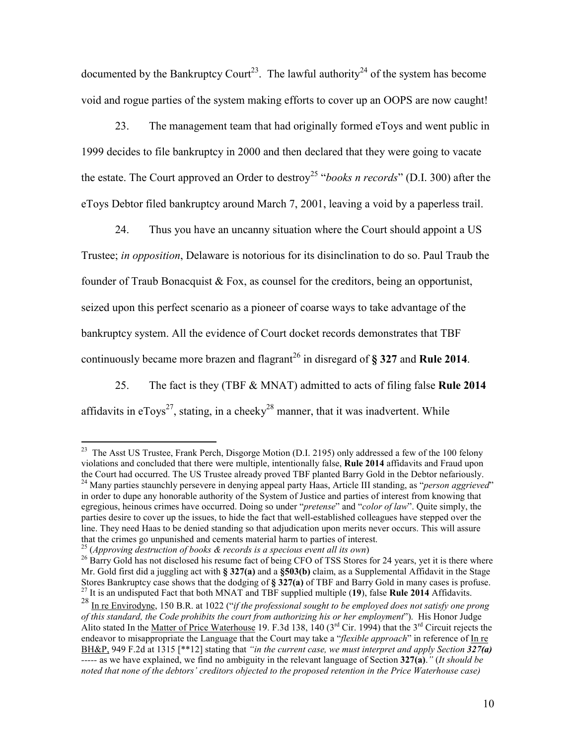documented by the Bankruptcy Court<sup>23</sup>. The lawful authority<sup>24</sup> of the system has become void and rogue parties of the system making efforts to cover up an OOPS are now caught!

 23. The management team that had originally formed eToys and went public in 1999 decides to file bankruptcy in 2000 and then declared that they were going to vacate the estate. The Court approved an Order to destroy<sup>25</sup> "books n records" (D.I. 300) after the eToys Debtor filed bankruptcy around March 7, 2001, leaving a void by a paperless trail.

 24. Thus you have an uncanny situation where the Court should appoint a US Trustee; in opposition, Delaware is notorious for its disinclination to do so. Paul Traub the founder of Traub Bonacquist & Fox, as counsel for the creditors, being an opportunist, seized upon this perfect scenario as a pioneer of coarse ways to take advantage of the bankruptcy system. All the evidence of Court docket records demonstrates that TBF continuously became more brazen and flagrant<sup>26</sup> in disregard of  $\S$  327 and Rule 2014.

25. The fact is they (TBF & MNAT) admitted to acts of filing false **Rule 2014** affidavits in  $eTovs^{27}$ , stating, in a cheeky<sup>28</sup> manner, that it was inadvertent. While

<sup>&</sup>lt;sup>23</sup> The Asst US Trustee, Frank Perch, Disgorge Motion (D.I. 2195) only addressed a few of the 100 felony violations and concluded that there were multiple, intentionally false, Rule 2014 affidavits and Fraud upon the Court had occurred. The US Trustee already proved TBF planted Barry Gold in the Debtor nefariously.  $24$  Many parties staunchly persevere in denying appeal party Haas, Article III standing, as "*person aggrieved*" in order to dupe any honorable authority of the System of Justice and parties of interest from knowing that egregious, heinous crimes have occurred. Doing so under "pretense" and "color of law". Quite simply, the parties desire to cover up the issues, to hide the fact that well-established colleagues have stepped over the line. They need Haas to be denied standing so that adjudication upon merits never occurs. This will assure that the crimes go unpunished and cements material harm to parties of interest.

<sup>&</sup>lt;sup>25</sup> (Approving destruction of books  $\&$  records is a specious event all its own)

<sup>&</sup>lt;sup>26</sup> Barry Gold has not disclosed his resume fact of being CFO of TSS Stores for 24 years, yet it is there where Mr. Gold first did a juggling act with § 327(a) and a §503(b) claim, as a Supplemental Affidavit in the Stage Stores Bankruptcy case shows that the dodging of § 327(a) of TBF and Barry Gold in many cases is profuse.  $^{27}$  It is an undisputed Fact that both MNAT and TBF supplied multiple (19), false Rule 2014 Affidavits.

<sup>&</sup>lt;sup>28</sup> In re Envirodyne, 150 B.R. at 1022 ("if the professional sought to be employed does not satisfy one prong of this standard, the Code prohibits the court from authorizing his or her employment"). His Honor Judge Alito stated In the Matter of Price Waterhouse 19. F.3d 138,  $\overline{140}$  (3<sup>rd</sup> Cir. 1994) that the 3<sup>rd</sup> Circuit rejects the endeavor to misappropriate the Language that the Court may take a "*flexible approach*" in reference of In re BH&P, 949 F.2d at 1315 [\*\*12] stating that "in the current case, we must interpret and apply Section 327(a)  $\overline{a}$  ----- as we have explained, we find no ambiguity in the relevant language of Section 327(a)." (It should be noted that none of the debtors' creditors objected to the proposed retention in the Price Waterhouse case)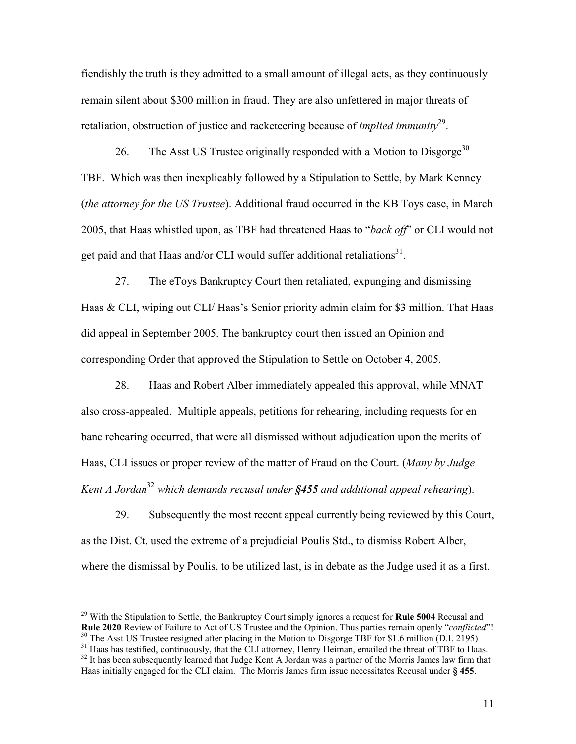fiendishly the truth is they admitted to a small amount of illegal acts, as they continuously remain silent about \$300 million in fraud. They are also unfettered in major threats of retaliation, obstruction of justice and racketeering because of *implied immunity*<sup>29</sup>.

26. The Asst US Trustee originally responded with a Motion to Disgorge<sup>30</sup> TBF. Which was then inexplicably followed by a Stipulation to Settle, by Mark Kenney (the attorney for the US Trustee). Additional fraud occurred in the KB Toys case, in March 2005, that Haas whistled upon, as TBF had threatened Haas to "back off" or CLI would not get paid and that Haas and/or CLI would suffer additional retaliations $^{31}$ .

 27. The eToys Bankruptcy Court then retaliated, expunging and dismissing Haas & CLI, wiping out CLI/ Haas's Senior priority admin claim for \$3 million. That Haas did appeal in September 2005. The bankruptcy court then issued an Opinion and corresponding Order that approved the Stipulation to Settle on October 4, 2005.

 28. Haas and Robert Alber immediately appealed this approval, while MNAT also cross-appealed. Multiple appeals, petitions for rehearing, including requests for en banc rehearing occurred, that were all dismissed without adjudication upon the merits of Haas, CLI issues or proper review of the matter of Fraud on the Court. (Many by Judge Kent A Jordan<sup>32</sup> which demands recusal under  $$455$  and additional appeal rehearing).

 29. Subsequently the most recent appeal currently being reviewed by this Court, as the Dist. Ct. used the extreme of a prejudicial Poulis Std., to dismiss Robert Alber, where the dismissal by Poulis, to be utilized last, is in debate as the Judge used it as a first.

<sup>&</sup>lt;sup>29</sup> With the Stipulation to Settle, the Bankruptcy Court simply ignores a request for **Rule 5004** Recusal and Rule 2020 Review of Failure to Act of US Trustee and the Opinion. Thus parties remain openly "conflicted"!

 $30$  The Asst US Trustee resigned after placing in the Motion to Disgorge TBF for \$1.6 million (D.I. 2195)

<sup>&</sup>lt;sup>31</sup> Haas has testified, continuously, that the CLI attorney, Henry Heiman, emailed the threat of TBF to Haas. <sup>32</sup> It has been subsequently learned that Judge Kent A Jordan was a partner of the Morris James law firm that Haas initially engaged for the CLI claim. The Morris James firm issue necessitates Recusal under § 455.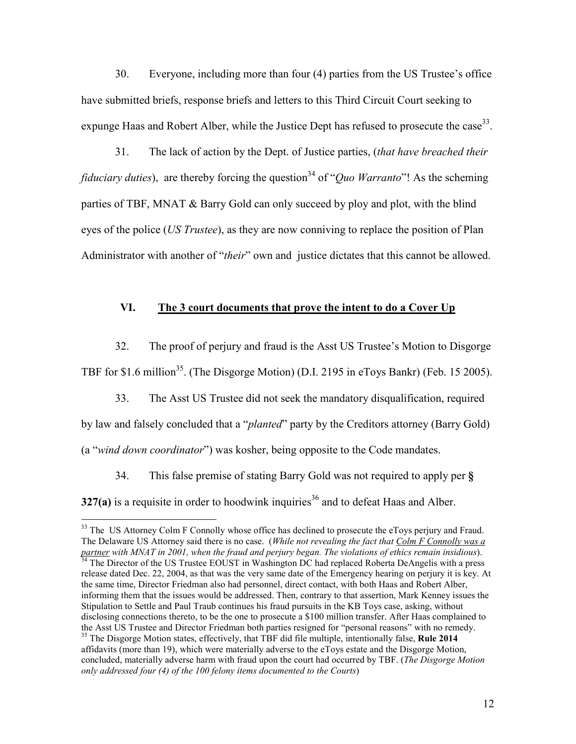30. Everyone, including more than four (4) parties from the US Trustee's office have submitted briefs, response briefs and letters to this Third Circuit Court seeking to expunge Haas and Robert Alber, while the Justice Dept has refused to prosecute the case<sup>33</sup>.

 31. The lack of action by the Dept. of Justice parties, (that have breached their *fiduciary duties*), are thereby forcing the question<sup>34</sup> of "*Quo Warranto*"! As the scheming parties of TBF, MNAT & Barry Gold can only succeed by ploy and plot, with the blind eyes of the police (US Trustee), as they are now conniving to replace the position of Plan Administrator with another of "*their*" own and justice dictates that this cannot be allowed.

### VI. The 3 court documents that prove the intent to do a Cover Up

32. The proof of perjury and fraud is the Asst US Trustee's Motion to Disgorge

TBF for \$1.6 million<sup>35</sup>. (The Disgorge Motion) (D.I. 2195 in eToys Bankr) (Feb. 15 2005).

 33. The Asst US Trustee did not seek the mandatory disqualification, required by law and falsely concluded that a "planted" party by the Creditors attorney (Barry Gold) (a "wind down coordinator") was kosher, being opposite to the Code mandates.

 34. This false premise of stating Barry Gold was not required to apply per § 327(a) is a requisite in order to hoodwink inquiries<sup>36</sup> and to defeat Haas and Alber.

<sup>&</sup>lt;sup>33</sup> The US Attorney Colm F Connolly whose office has declined to prosecute the eToys perjury and Fraud. The Delaware US Attorney said there is no case. (While not revealing the fact that Colm F Connolly was a partner with MNAT in 2001, when the fraud and perjury began. The violations of ethics remain insidious). <sup>34</sup> The Director of the US Trustee EOUST in Washington DC had replaced Roberta DeAngelis with a press release dated Dec. 22, 2004, as that was the very same date of the Emergency hearing on perjury it is key. At the same time, Director Friedman also had personnel, direct contact, with both Haas and Robert Alber, informing them that the issues would be addressed. Then, contrary to that assertion, Mark Kenney issues the Stipulation to Settle and Paul Traub continues his fraud pursuits in the KB Toys case, asking, without disclosing connections thereto, to be the one to prosecute a \$100 million transfer. After Haas complained to the Asst US Trustee and Director Friedman both parties resigned for "personal reasons" with no remedy. <sup>35</sup> The Disgorge Motion states, effectively, that TBF did file multiple, intentionally false, **Rule 2014** affidavits (more than 19), which were materially adverse to the eToys estate and the Disgorge Motion, concluded, materially adverse harm with fraud upon the court had occurred by TBF. (The Disgorge Motion only addressed four (4) of the 100 felony items documented to the Courts)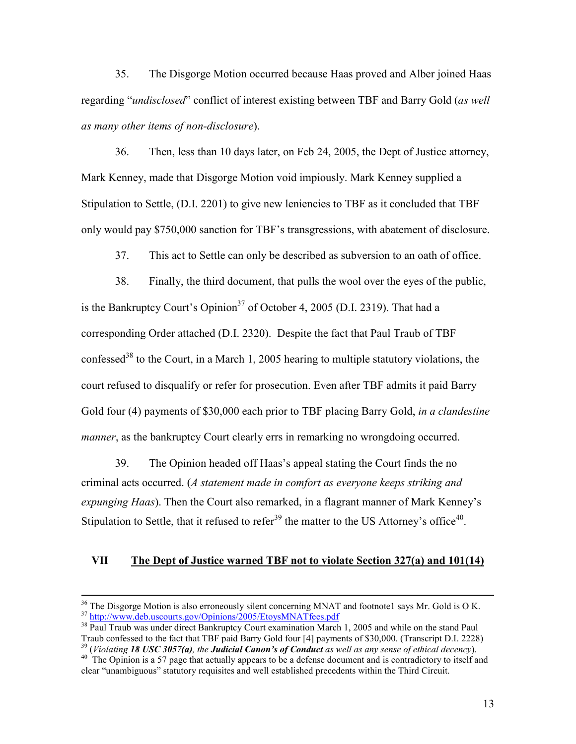35. The Disgorge Motion occurred because Haas proved and Alber joined Haas regarding "undisclosed" conflict of interest existing between TBF and Barry Gold (as well as many other items of non-disclosure).

 36. Then, less than 10 days later, on Feb 24, 2005, the Dept of Justice attorney, Mark Kenney, made that Disgorge Motion void impiously. Mark Kenney supplied a Stipulation to Settle, (D.I. 2201) to give new leniencies to TBF as it concluded that TBF only would pay \$750,000 sanction for TBF's transgressions, with abatement of disclosure.

37. This act to Settle can only be described as subversion to an oath of office.

 38. Finally, the third document, that pulls the wool over the eyes of the public, is the Bankruptcy Court's Opinion<sup>37</sup> of October 4, 2005 (D.I. 2319). That had a corresponding Order attached (D.I. 2320). Despite the fact that Paul Traub of TBF confessed<sup>38</sup> to the Court, in a March 1, 2005 hearing to multiple statutory violations, the court refused to disqualify or refer for prosecution. Even after TBF admits it paid Barry Gold four (4) payments of \$30,000 each prior to TBF placing Barry Gold, in a clandestine manner, as the bankruptcy Court clearly errs in remarking no wrongdoing occurred.

 39. The Opinion headed off Haas's appeal stating the Court finds the no criminal acts occurred. (A statement made in comfort as everyone keeps striking and expunging Haas). Then the Court also remarked, in a flagrant manner of Mark Kenney's Stipulation to Settle, that it refused to refer<sup>39</sup> the matter to the US Attorney's office<sup>40</sup>.

### VII The Dept of Justice warned TBF not to violate Section 327(a) and 101(14)

 $36$  The Disgorge Motion is also erroneously silent concerning MNAT and footnote1 says Mr. Gold is O K. <sup>37</sup> http://www.deb.uscourts.gov/Opinions/2005/EtoysMNATfees.pdf

<sup>&</sup>lt;sup>38</sup> Paul Traub was under direct Bankruptcy Court examination March 1, 2005 and while on the stand Paul Traub confessed to the fact that TBF paid Barry Gold four [4] payments of \$30,000. (Transcript D.I. 2228)  $39$  (Violating 18 USC 3057(a), the Judicial Canon's of Conduct as well as any sense of ethical decency).

<sup>&</sup>lt;sup>40</sup> The Opinion is a 57 page that actually appears to be a defense document and is contradictory to itself and clear "unambiguous" statutory requisites and well established precedents within the Third Circuit.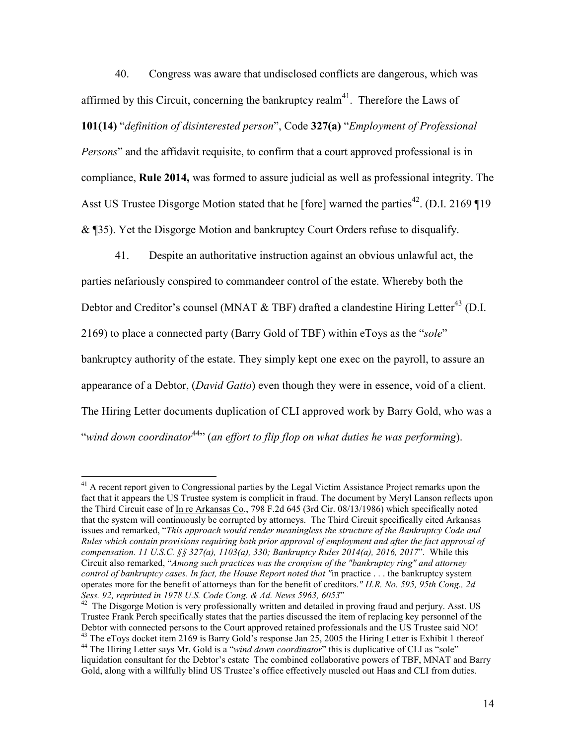40. Congress was aware that undisclosed conflicts are dangerous, which was affirmed by this Circuit, concerning the bankruptcy realm<sup>41</sup>. Therefore the Laws of

101(14) "definition of disinterested person", Code 327(a) "Employment of Professional

Persons" and the affidavit requisite, to confirm that a court approved professional is in compliance, Rule 2014, was formed to assure judicial as well as professional integrity. The Asst US Trustee Disgorge Motion stated that he [fore] warned the parties<sup>42</sup>. (D.I. 2169 ¶19 & ¶35). Yet the Disgorge Motion and bankruptcy Court Orders refuse to disqualify.

 41. Despite an authoritative instruction against an obvious unlawful act, the parties nefariously conspired to commandeer control of the estate. Whereby both the Debtor and Creditor's counsel (MNAT  $&$  TBF) drafted a clandestine Hiring Letter<sup>43</sup> (D.I. 2169) to place a connected party (Barry Gold of TBF) within eToys as the "sole" bankruptcy authority of the estate. They simply kept one exec on the payroll, to assure an appearance of a Debtor, (David Gatto) even though they were in essence, void of a client. The Hiring Letter documents duplication of CLI approved work by Barry Gold, who was a "wind down coordinator<sup>44</sup>" (an effort to flip flop on what duties he was performing).

 $\overline{a}$ 

Gold, along with a willfully blind US Trustee's office effectively muscled out Haas and CLI from duties.

<sup>&</sup>lt;sup>41</sup> A recent report given to Congressional parties by the Legal Victim Assistance Project remarks upon the fact that it appears the US Trustee system is complicit in fraud. The document by Meryl Lanson reflects upon the Third Circuit case of In re Arkansas Co., 798 F.2d 645 (3rd Cir. 08/13/1986) which specifically noted that the system will continuously be corrupted by attorneys. The Third Circuit specifically cited Arkansas issues and remarked, "This approach would render meaningless the structure of the Bankruptcy Code and Rules which contain provisions requiring both prior approval of employment and after the fact approval of compensation. 11 U.S.C.  $\S$ § 327(a), 1103(a), 330; Bankruptcy Rules 2014(a), 2016, 2017". While this Circuit also remarked, "Among such practices was the cronyism of the "bankruptcy ring" and attorney control of bankruptcy cases. In fact, the House Report noted that "in practice . . . the bankruptcy system operates more for the benefit of attorneys than for the benefit of creditors." H.R. No. 595, 95th Cong., 2d Sess. 92, reprinted in 1978 U.S. Code Cong. & Ad. News 5963, 6053"

 $42$  The Disgorge Motion is very professionally written and detailed in proving fraud and perjury. Asst. US Trustee Frank Perch specifically states that the parties discussed the item of replacing key personnel of the Debtor with connected persons to the Court approved retained professionals and the US Trustee said NO! <sup>43</sup> The eToys docket item 2169 is Barry Gold's response Jan  $25$ , 2005 the Hiring Letter is Exhibit 1 thereof <sup>44</sup> The Hiring Letter says Mr. Gold is a "wind down coordinator" this is duplicative of CLI as "sole" liquidation consultant for the Debtor's estate The combined collaborative powers of TBF, MNAT and Barry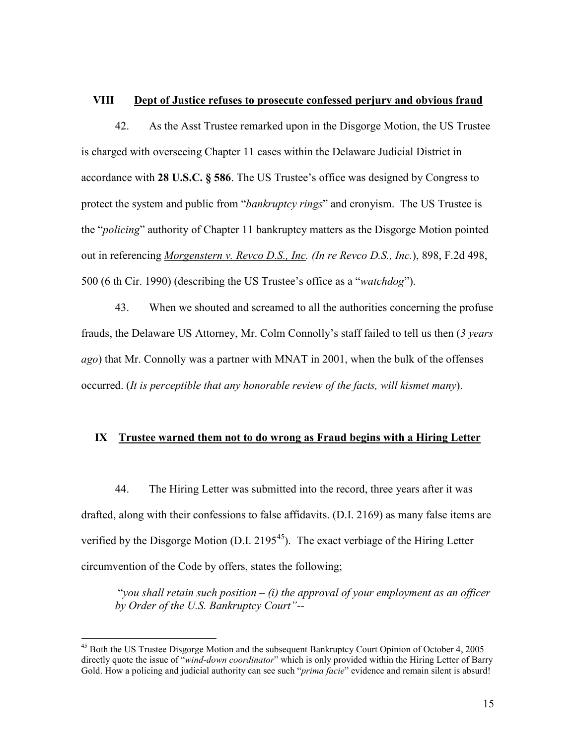#### VIII Dept of Justice refuses to prosecute confessed perjury and obvious fraud

 42. As the Asst Trustee remarked upon in the Disgorge Motion, the US Trustee is charged with overseeing Chapter 11 cases within the Delaware Judicial District in accordance with 28 U.S.C. § 586. The US Trustee's office was designed by Congress to protect the system and public from "*bankruptcy rings*" and cronyism. The US Trustee is the "policing" authority of Chapter 11 bankruptcy matters as the Disgorge Motion pointed out in referencing *Morgenstern v. Revco D.S., Inc. (In re Revco D.S., Inc.)*, 898, F.2d 498, 500 (6 th Cir. 1990) (describing the US Trustee's office as a "watchdog").

 43. When we shouted and screamed to all the authorities concerning the profuse frauds, the Delaware US Attorney, Mr. Colm Connolly's staff failed to tell us then (3 years ago) that Mr. Connolly was a partner with MNAT in 2001, when the bulk of the offenses occurred. (It is perceptible that any honorable review of the facts, will kismet many).

### IX Trustee warned them not to do wrong as Fraud begins with a Hiring Letter

 44. The Hiring Letter was submitted into the record, three years after it was drafted, along with their confessions to false affidavits. (D.I. 2169) as many false items are verified by the Disgorge Motion (D.I.  $2195^{45}$ ). The exact verbiage of the Hiring Letter circumvention of the Code by offers, states the following;

"you shall retain such position  $-$  (i) the approval of your employment as an officer by Order of the U.S. Bankruptcy Court"--

<sup>&</sup>lt;sup>45</sup> Both the US Trustee Disgorge Motion and the subsequent Bankruptcy Court Opinion of October 4, 2005 directly quote the issue of "wind-down coordinator" which is only provided within the Hiring Letter of Barry Gold. How a policing and judicial authority can see such "*prima facie*" evidence and remain silent is absurd!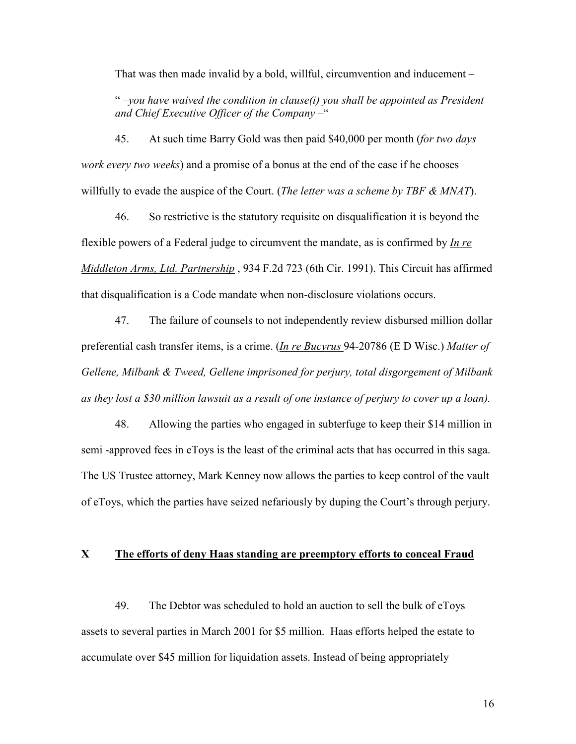That was then made invalid by a bold, willful, circumvention and inducement –

" $-you$  have waived the condition in clause(i) you shall be appointed as President and Chief Executive Officer of the Company –"

45. At such time Barry Gold was then paid \$40,000 per month (for two days work every two weeks) and a promise of a bonus at the end of the case if he chooses willfully to evade the auspice of the Court. (The letter was a scheme by TBF  $\&$  MNAT).

 46. So restrictive is the statutory requisite on disqualification it is beyond the flexible powers of a Federal judge to circumvent the mandate, as is confirmed by *In re* Middleton Arms, Ltd. Partnership, 934 F.2d 723 (6th Cir. 1991). This Circuit has affirmed that disqualification is a Code mandate when non-disclosure violations occurs.

 47. The failure of counsels to not independently review disbursed million dollar preferential cash transfer items, is a crime. (In re Bucyrus 94-20786 (E D Wisc.) Matter of Gellene, Milbank & Tweed, Gellene imprisoned for perjury, total disgorgement of Milbank as they lost a \$30 million lawsuit as a result of one instance of perjury to cover up a loan).

 48. Allowing the parties who engaged in subterfuge to keep their \$14 million in semi -approved fees in eToys is the least of the criminal acts that has occurred in this saga. The US Trustee attorney, Mark Kenney now allows the parties to keep control of the vault of eToys, which the parties have seized nefariously by duping the Court's through perjury.

### X The efforts of deny Haas standing are preemptory efforts to conceal Fraud

 49. The Debtor was scheduled to hold an auction to sell the bulk of eToys assets to several parties in March 2001 for \$5 million. Haas efforts helped the estate to accumulate over \$45 million for liquidation assets. Instead of being appropriately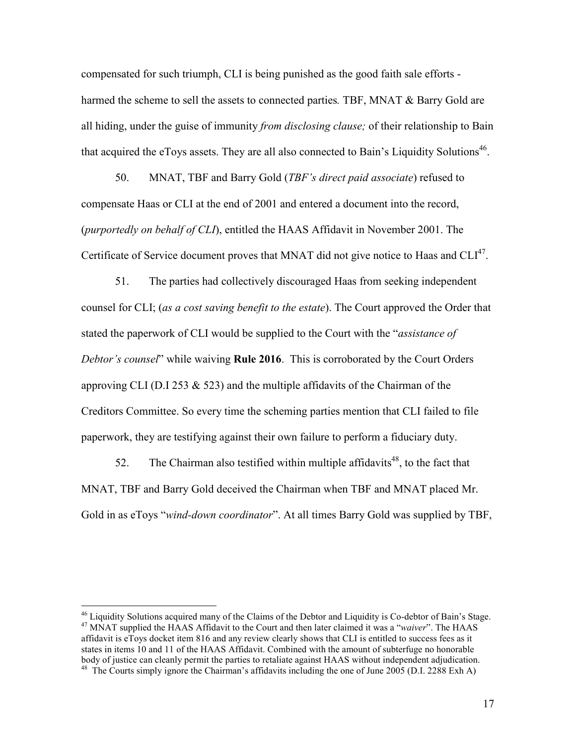compensated for such triumph, CLI is being punished as the good faith sale efforts harmed the scheme to sell the assets to connected parties. TBF, MNAT & Barry Gold are all hiding, under the guise of immunity *from disclosing clause*; of their relationship to Bain that acquired the eToys assets. They are all also connected to Bain's Liquidity Solutions<sup>46</sup>.

50. MNAT, TBF and Barry Gold (*TBF's direct paid associate*) refused to compensate Haas or CLI at the end of 2001 and entered a document into the record, (purportedly on behalf of CLI), entitled the HAAS Affidavit in November 2001. The Certificate of Service document proves that MNAT did not give notice to Haas and  $CLI<sup>47</sup>$ .

 51. The parties had collectively discouraged Haas from seeking independent counsel for CLI; (as a cost saving benefit to the estate). The Court approved the Order that stated the paperwork of CLI would be supplied to the Court with the "assistance of Debtor's counsel" while waiving **Rule 2016**. This is corroborated by the Court Orders approving CLI (D.I 253  $\&$  523) and the multiple affidavits of the Chairman of the Creditors Committee. So every time the scheming parties mention that CLI failed to file paperwork, they are testifying against their own failure to perform a fiduciary duty.

52. The Chairman also testified within multiple affidavits<sup>48</sup>, to the fact that MNAT, TBF and Barry Gold deceived the Chairman when TBF and MNAT placed Mr. Gold in as eToys "wind-down coordinator". At all times Barry Gold was supplied by TBF,

<sup>&</sup>lt;sup>46</sup> Liquidity Solutions acquired many of the Claims of the Debtor and Liquidity is Co-debtor of Bain's Stage. <sup>47</sup> MNAT supplied the HAAS Affidavit to the Court and then later claimed it was a "waiver". The HAAS affidavit is eToys docket item 816 and any review clearly shows that CLI is entitled to success fees as it states in items 10 and 11 of the HAAS Affidavit. Combined with the amount of subterfuge no honorable body of justice can cleanly permit the parties to retaliate against HAAS without independent adjudication. <sup>48</sup> The Courts simply ignore the Chairman's affidavits including the one of June 2005 (D.I. 2288 Exh A)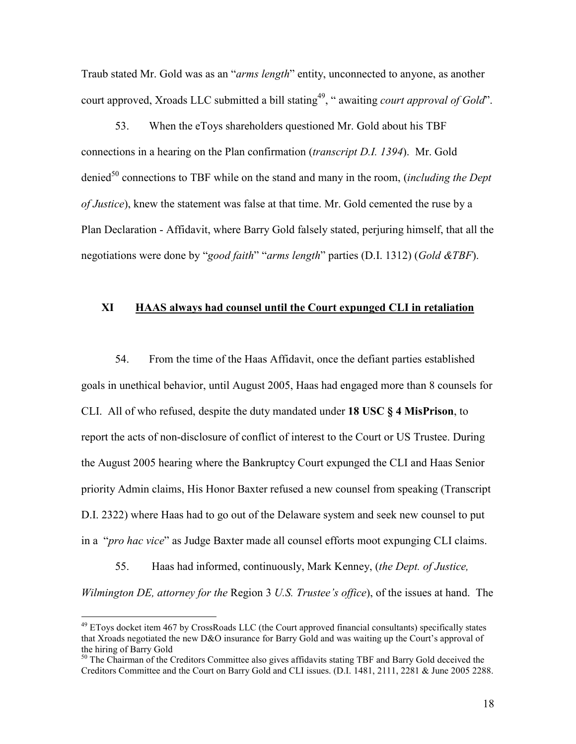Traub stated Mr. Gold was as an "arms length" entity, unconnected to anyone, as another court approved, Xroads LLC submitted a bill stating<sup>49</sup>, " awaiting *court approval of Gold*".

 53. When the eToys shareholders questioned Mr. Gold about his TBF connections in a hearing on the Plan confirmation (transcript D.I. 1394). Mr. Gold denied<sup>50</sup> connections to TBF while on the stand and many in the room, *(including the Dept*) of Justice), knew the statement was false at that time. Mr. Gold cemented the ruse by a Plan Declaration - Affidavit, where Barry Gold falsely stated, perjuring himself, that all the negotiations were done by "good faith" "arms length" parties (D.I. 1312) (Gold &TBF).

#### XI HAAS always had counsel until the Court expunged CLI in retaliation

 54. From the time of the Haas Affidavit, once the defiant parties established goals in unethical behavior, until August 2005, Haas had engaged more than 8 counsels for CLI. All of who refused, despite the duty mandated under 18 USC § 4 MisPrison, to report the acts of non-disclosure of conflict of interest to the Court or US Trustee. During the August 2005 hearing where the Bankruptcy Court expunged the CLI and Haas Senior priority Admin claims, His Honor Baxter refused a new counsel from speaking (Transcript D.I. 2322) where Haas had to go out of the Delaware system and seek new counsel to put in a "pro hac vice" as Judge Baxter made all counsel efforts moot expunging CLI claims.

 55. Haas had informed, continuously, Mark Kenney, (the Dept. of Justice, Wilmington DE, attorney for the Region 3 U.S. Trustee's office), of the issues at hand. The

 $49$  EToys docket item 467 by CrossRoads LLC (the Court approved financial consultants) specifically states that Xroads negotiated the new D&O insurance for Barry Gold and was waiting up the Court's approval of the hiring of Barry Gold

<sup>&</sup>lt;sup>50</sup> The Chairman of the Creditors Committee also gives affidavits stating TBF and Barry Gold deceived the Creditors Committee and the Court on Barry Gold and CLI issues. (D.I. 1481, 2111, 2281 & June 2005 2288.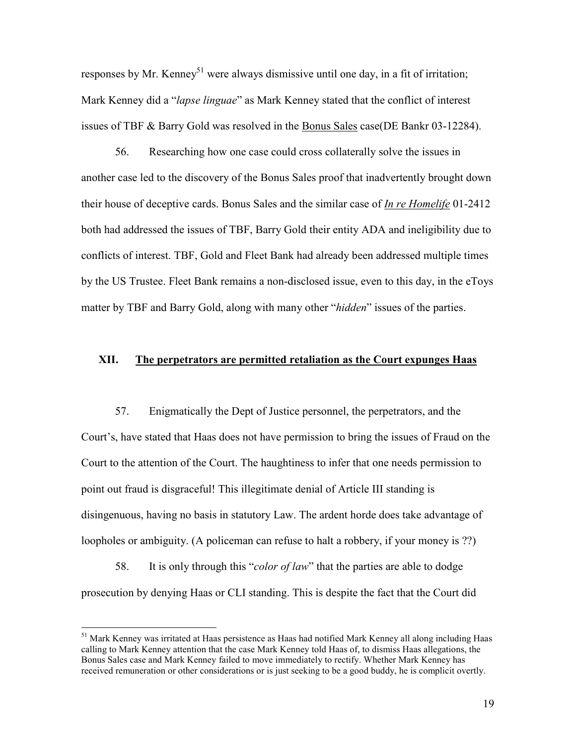responses by Mr. Kenney<sup>51</sup> were always dismissive until one day, in a fit of irritation; Mark Kenney did a "lapse linguae" as Mark Kenney stated that the conflict of interest issues of TBF & Barry Gold was resolved in the Bonus Sales case(DE Bankr 03-12284).

 56. Researching how one case could cross collaterally solve the issues in another case led to the discovery of the Bonus Sales proof that inadvertently brought down their house of deceptive cards. Bonus Sales and the similar case of In re Homelife 01-2412 both had addressed the issues of TBF, Barry Gold their entity ADA and ineligibility due to conflicts of interest. TBF, Gold and Fleet Bank had already been addressed multiple times by the US Trustee. Fleet Bank remains a non-disclosed issue, even to this day, in the eToys matter by TBF and Barry Gold, along with many other "*hidden*" issues of the parties.

### XII. The perpetrators are permitted retaliation as the Court expunges Haas

 57. Enigmatically the Dept of Justice personnel, the perpetrators, and the Court's, have stated that Haas does not have permission to bring the issues of Fraud on the Court to the attention of the Court. The haughtiness to infer that one needs permission to point out fraud is disgraceful! This illegitimate denial of Article III standing is disingenuous, having no basis in statutory Law. The ardent horde does take advantage of loopholes or ambiguity. (A policeman can refuse to halt a robbery, if your money is ??)

58. It is only through this "*color of law*" that the parties are able to dodge prosecution by denying Haas or CLI standing. This is despite the fact that the Court did

<sup>&</sup>lt;sup>51</sup> Mark Kenney was irritated at Haas persistence as Haas had notified Mark Kenney all along including Haas calling to Mark Kenney attention that the case Mark Kenney told Haas of, to dismiss Haas allegations, the Bonus Sales case and Mark Kenney failed to move immediately to rectify. Whether Mark Kenney has received remuneration or other considerations or is just seeking to be a good buddy, he is complicit overtly.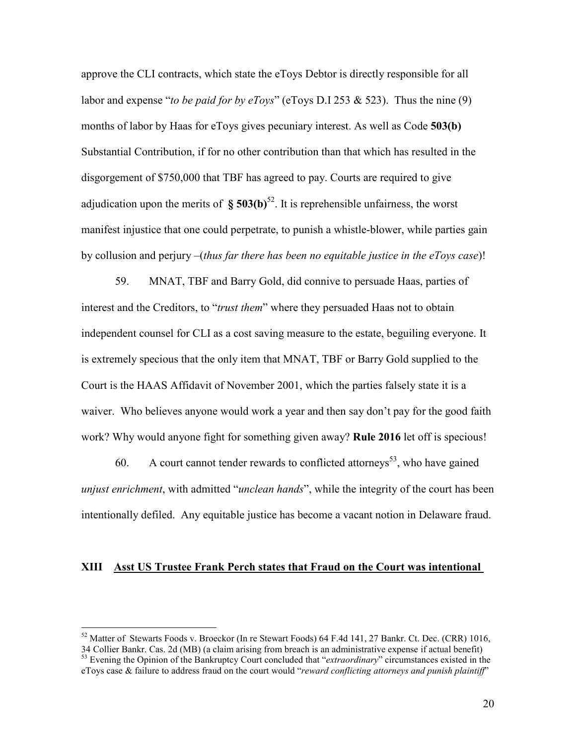approve the CLI contracts, which state the eToys Debtor is directly responsible for all labor and expense "to be paid for by eToys" (eToys D.I 253 & 523). Thus the nine (9) months of labor by Haas for eToys gives pecuniary interest. As well as Code 503(b) Substantial Contribution, if for no other contribution than that which has resulted in the disgorgement of \$750,000 that TBF has agreed to pay. Courts are required to give adjudication upon the merits of  $\delta$  503(b)<sup>52</sup>. It is reprehensible unfairness, the worst manifest injustice that one could perpetrate, to punish a whistle-blower, while parties gain by collusion and perjury  $-(thus far there has been no equitable justice in the eTovs case)!$ 

 59. MNAT, TBF and Barry Gold, did connive to persuade Haas, parties of interest and the Creditors, to "trust them" where they persuaded Haas not to obtain independent counsel for CLI as a cost saving measure to the estate, beguiling everyone. It is extremely specious that the only item that MNAT, TBF or Barry Gold supplied to the Court is the HAAS Affidavit of November 2001, which the parties falsely state it is a waiver. Who believes anyone would work a year and then say don't pay for the good faith work? Why would anyone fight for something given away? **Rule 2016** let off is specious!

60. A court cannot tender rewards to conflicted attorneys<sup>53</sup>, who have gained unjust enrichment, with admitted "unclean hands", while the integrity of the court has been intentionally defiled. Any equitable justice has become a vacant notion in Delaware fraud.

### XIII Asst US Trustee Frank Perch states that Fraud on the Court was intentional

<sup>52</sup> Matter of Stewarts Foods v. Broeckor (In re Stewart Foods) 64 F.4d 141, 27 Bankr. Ct. Dec. (CRR) 1016,

<sup>34</sup> Collier Bankr. Cas. 2d (MB) (a claim arising from breach is an administrative expense if actual benefit) <sup>53</sup> Evening the Opinion of the Bankruptcy Court concluded that "*extraordinary*" circumstances existed in the eToys case & failure to address fraud on the court would "reward conflicting attorneys and punish plaintiff"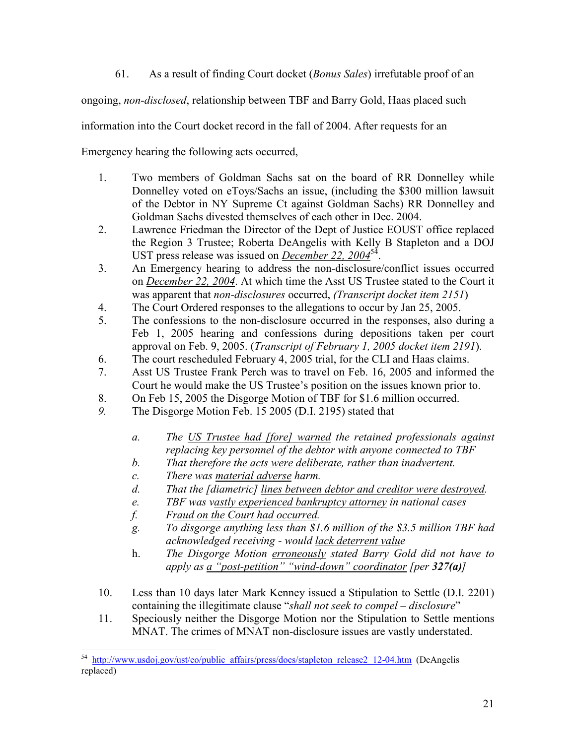61. As a result of finding Court docket (Bonus Sales) irrefutable proof of an

ongoing, non-disclosed, relationship between TBF and Barry Gold, Haas placed such

information into the Court docket record in the fall of 2004. After requests for an

Emergency hearing the following acts occurred,

- 1. Two members of Goldman Sachs sat on the board of RR Donnelley while Donnelley voted on eToys/Sachs an issue, (including the \$300 million lawsuit of the Debtor in NY Supreme Ct against Goldman Sachs) RR Donnelley and Goldman Sachs divested themselves of each other in Dec. 2004.
- 2. Lawrence Friedman the Director of the Dept of Justice EOUST office replaced the Region 3 Trustee; Roberta DeAngelis with Kelly B Stapleton and a DOJ UST press release was issued on *December 22*,  $2004<sup>54</sup>$ .
- 3. An Emergency hearing to address the non-disclosure/conflict issues occurred on December 22, 2004. At which time the Asst US Trustee stated to the Court it was apparent that *non-disclosures* occurred, (Transcript docket item 2151)
- 4. The Court Ordered responses to the allegations to occur by Jan 25, 2005.
- 5. The confessions to the non-disclosure occurred in the responses, also during a Feb 1, 2005 hearing and confessions during depositions taken per court approval on Feb. 9, 2005. (*Transcript of February 1, 2005 docket item 2191*).
- 6. The court rescheduled February 4, 2005 trial, for the CLI and Haas claims.
- 7. Asst US Trustee Frank Perch was to travel on Feb. 16, 2005 and informed the Court he would make the US Trustee's position on the issues known prior to.
- 8. On Feb 15, 2005 the Disgorge Motion of TBF for \$1.6 million occurred.
- 9. The Disgorge Motion Feb. 15 2005 (D.I. 2195) stated that
	- a. The US Trustee had [fore] warned the retained professionals against replacing key personnel of the debtor with anyone connected to TBF
	- b. That therefore the acts were deliberate, rather than inadvertent.
	- c. There was material adverse harm.
	- d. That the [diametric] lines between debtor and creditor were destroyed.
	- e. TBF was vastly experienced bankruptcy attorney in national cases
	- f. Fraud on the Court had occurred.
	- g. To disgorge anything less than \$1.6 million of the \$3.5 million TBF had acknowledged receiving - would lack deterrent value
	- h. The Disgorge Motion erroneously stated Barry Gold did not have to apply as a "post-petition" "wind-down" coordinator [per  $327(a)$ ]
- 10. Less than 10 days later Mark Kenney issued a Stipulation to Settle (D.I. 2201) containing the illegitimate clause "shall not seek to compel – disclosure"
- 11. Speciously neither the Disgorge Motion nor the Stipulation to Settle mentions MNAT. The crimes of MNAT non-disclosure issues are vastly understated.

 $\overline{a}$ 54 http://www.usdoj.gov/ust/eo/public\_affairs/press/docs/stapleton\_release2\_12-04.htm (DeAngelis replaced)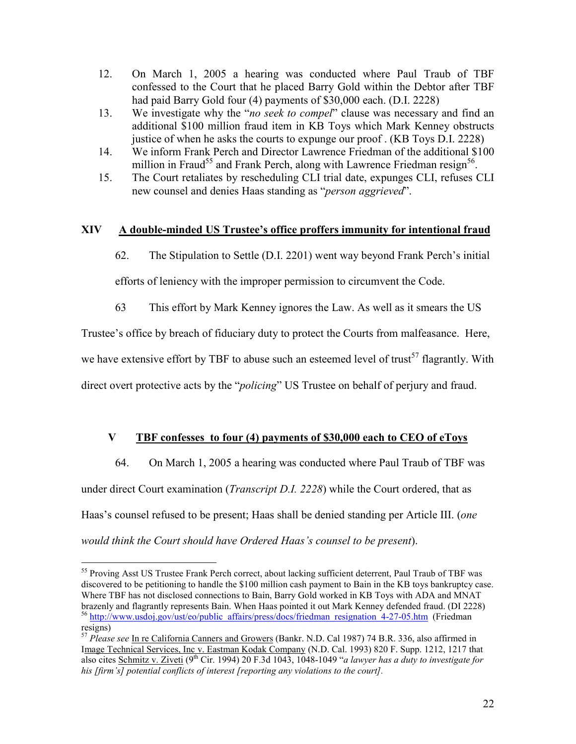- 12. On March 1, 2005 a hearing was conducted where Paul Traub of TBF confessed to the Court that he placed Barry Gold within the Debtor after TBF had paid Barry Gold four (4) payments of \$30,000 each. (D.I. 2228)
- 13. We investigate why the "*no seek to compel*" clause was necessary and find an additional \$100 million fraud item in KB Toys which Mark Kenney obstructs justice of when he asks the courts to expunge our proof . (KB Toys D.I. 2228)
- 14. We inform Frank Perch and Director Lawrence Friedman of the additional \$100 million in Fraud<sup>55</sup> and Frank Perch, along with Lawrence Friedman resign<sup>56</sup>.
- 15. The Court retaliates by rescheduling CLI trial date, expunges CLI, refuses CLI new counsel and denies Haas standing as "*person aggrieved*".

### XIV A double-minded US Trustee's office proffers immunity for intentional fraud

62. The Stipulation to Settle (D.I. 2201) went way beyond Frank Perch's initial

efforts of leniency with the improper permission to circumvent the Code.

63 This effort by Mark Kenney ignores the Law. As well as it smears the US

Trustee's office by breach of fiduciary duty to protect the Courts from malfeasance. Here,

we have extensive effort by TBF to abuse such an esteemed level of trust<sup>57</sup> flagrantly. With

direct overt protective acts by the "*policing*" US Trustee on behalf of perjury and fraud.

# V TBF confesses to four (4) payments of \$30,000 each to CEO of eToys

 64. On March 1, 2005 a hearing was conducted where Paul Traub of TBF was under direct Court examination (*Transcript D.I. 2228*) while the Court ordered, that as Haas's counsel refused to be present; Haas shall be denied standing per Article III. (one would think the Court should have Ordered Haas's counsel to be present).

 $\overline{a}$ <sup>55</sup> Proving Asst US Trustee Frank Perch correct, about lacking sufficient deterrent, Paul Traub of TBF was discovered to be petitioning to handle the \$100 million cash payment to Bain in the KB toys bankruptcy case. Where TBF has not disclosed connections to Bain, Barry Gold worked in KB Toys with ADA and MNAT brazenly and flagrantly represents Bain. When Haas pointed it out Mark Kenney defended fraud. (DI 2228) <sup>56</sup> http://www.usdoj.gov/ust/eo/public\_affairs/press/docs/friedman\_resignation\_4-27-05.htm (Friedman resigns)

<sup>&</sup>lt;sup>57</sup> Please see In re California Canners and Growers (Bankr. N.D. Cal 1987) 74 B.R. 336, also affirmed in Image Technical Services, Inc v. Eastman Kodak Company (N.D. Cal. 1993) 820 F. Supp. 1212, 1217 that also cites Schmitz v. Ziveti (9<sup>th</sup> Cir. 1994) 20 F.3d 1043, 1048-1049 "a lawyer has a duty to investigate for his [firm's] potential conflicts of interest [reporting any violations to the court].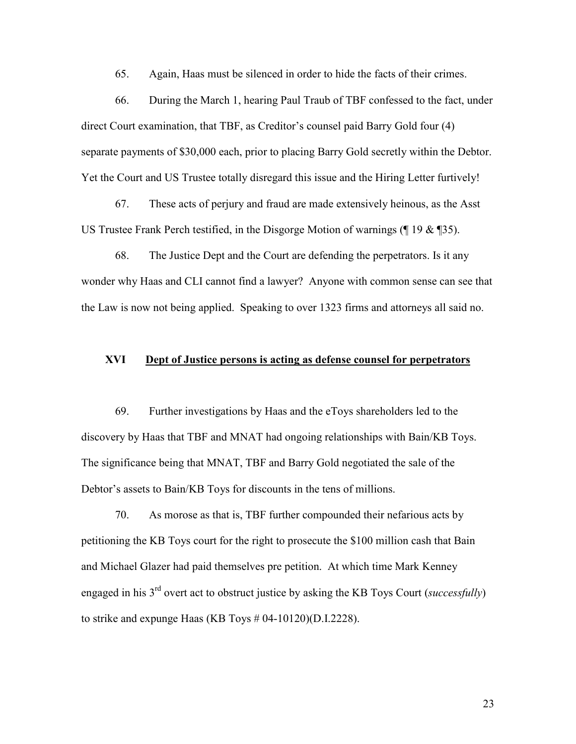65. Again, Haas must be silenced in order to hide the facts of their crimes.

 66. During the March 1, hearing Paul Traub of TBF confessed to the fact, under direct Court examination, that TBF, as Creditor's counsel paid Barry Gold four (4) separate payments of \$30,000 each, prior to placing Barry Gold secretly within the Debtor. Yet the Court and US Trustee totally disregard this issue and the Hiring Letter furtively!

 67. These acts of perjury and fraud are made extensively heinous, as the Asst US Trustee Frank Perch testified, in the Disgorge Motion of warnings (¶ 19 & ¶35).

 68. The Justice Dept and the Court are defending the perpetrators. Is it any wonder why Haas and CLI cannot find a lawyer? Anyone with common sense can see that the Law is now not being applied. Speaking to over 1323 firms and attorneys all said no.

### XVI Dept of Justice persons is acting as defense counsel for perpetrators

 69. Further investigations by Haas and the eToys shareholders led to the discovery by Haas that TBF and MNAT had ongoing relationships with Bain/KB Toys. The significance being that MNAT, TBF and Barry Gold negotiated the sale of the Debtor's assets to Bain/KB Toys for discounts in the tens of millions.

 70. As morose as that is, TBF further compounded their nefarious acts by petitioning the KB Toys court for the right to prosecute the \$100 million cash that Bain and Michael Glazer had paid themselves pre petition. At which time Mark Kenney engaged in his  $3<sup>rd</sup>$  overt act to obstruct justice by asking the KB Toys Court (successfully) to strike and expunge Haas (KB Toys # 04-10120)(D.I.2228).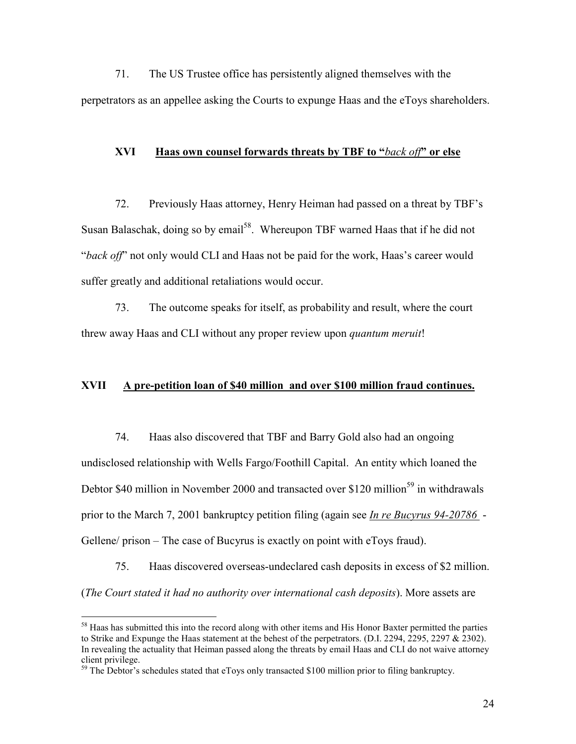71. The US Trustee office has persistently aligned themselves with the perpetrators as an appellee asking the Courts to expunge Haas and the eToys shareholders.

#### XVI Haas own counsel forwards threats by TBF to "back off" or else

 72. Previously Haas attorney, Henry Heiman had passed on a threat by TBF's Susan Balaschak, doing so by email<sup>58</sup>. Whereupon TBF warned Haas that if he did not "back off" not only would CLI and Haas not be paid for the work, Haas's career would suffer greatly and additional retaliations would occur.

 73. The outcome speaks for itself, as probability and result, where the court threw away Haas and CLI without any proper review upon quantum meruit!

#### XVII A pre-petition loan of \$40 million and over \$100 million fraud continues.

 74. Haas also discovered that TBF and Barry Gold also had an ongoing undisclosed relationship with Wells Fargo/Foothill Capital. An entity which loaned the Debtor \$40 million in November 2000 and transacted over \$120 million<sup>59</sup> in withdrawals prior to the March 7, 2001 bankruptcy petition filing (again see *In re Bucyrus 94-20786* -Gellene/ prison – The case of Bucyrus is exactly on point with eToys fraud).

 75. Haas discovered overseas-undeclared cash deposits in excess of \$2 million. (The Court stated it had no authority over international cash deposits). More assets are

<sup>&</sup>lt;sup>58</sup> Haas has submitted this into the record along with other items and His Honor Baxter permitted the parties to Strike and Expunge the Haas statement at the behest of the perpetrators. (D.I. 2294, 2295, 2297 & 2302). In revealing the actuality that Heiman passed along the threats by email Haas and CLI do not waive attorney client privilege.

 $59$  The Debtor's schedules stated that eToys only transacted \$100 million prior to filing bankruptcy.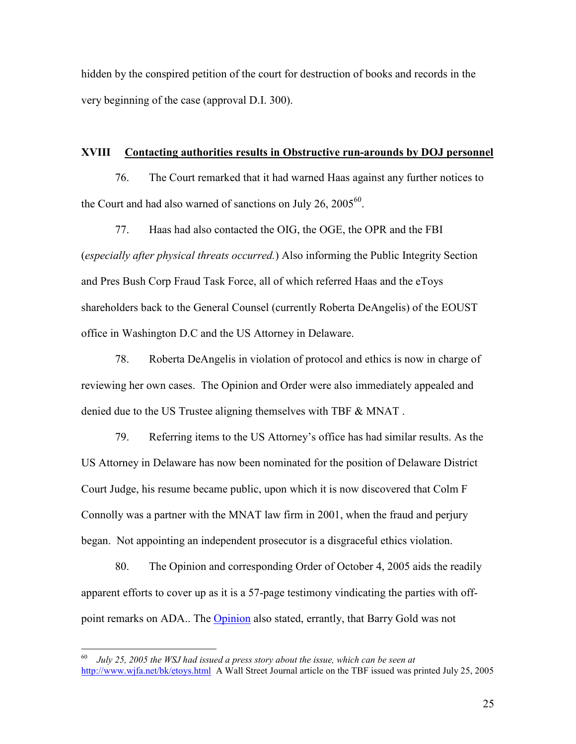hidden by the conspired petition of the court for destruction of books and records in the very beginning of the case (approval D.I. 300).

#### XVIII Contacting authorities results in Obstructive run-arounds by DOJ personnel

 76. The Court remarked that it had warned Haas against any further notices to the Court and had also warned of sanctions on July 26,  $2005^{60}$ .

 77. Haas had also contacted the OIG, the OGE, the OPR and the FBI (especially after physical threats occurred.) Also informing the Public Integrity Section and Pres Bush Corp Fraud Task Force, all of which referred Haas and the eToys shareholders back to the General Counsel (currently Roberta DeAngelis) of the EOUST office in Washington D.C and the US Attorney in Delaware.

 78. Roberta DeAngelis in violation of protocol and ethics is now in charge of reviewing her own cases. The Opinion and Order were also immediately appealed and denied due to the US Trustee aligning themselves with TBF & MNAT .

 79. Referring items to the US Attorney's office has had similar results. As the US Attorney in Delaware has now been nominated for the position of Delaware District Court Judge, his resume became public, upon which it is now discovered that Colm F Connolly was a partner with the MNAT law firm in 2001, when the fraud and perjury began. Not appointing an independent prosecutor is a disgraceful ethics violation.

 80. The Opinion and corresponding Order of October 4, 2005 aids the readily apparent efforts to cover up as it is a 57-page testimony vindicating the parties with offpoint remarks on ADA.. The Opinion also stated, errantly, that Barry Gold was not

 60 July 25, 2005 the WSJ had issued a press story about the issue, which can be seen at http://www.wjfa.net/bk/etoys.html A Wall Street Journal article on the TBF issued was printed July 25, 2005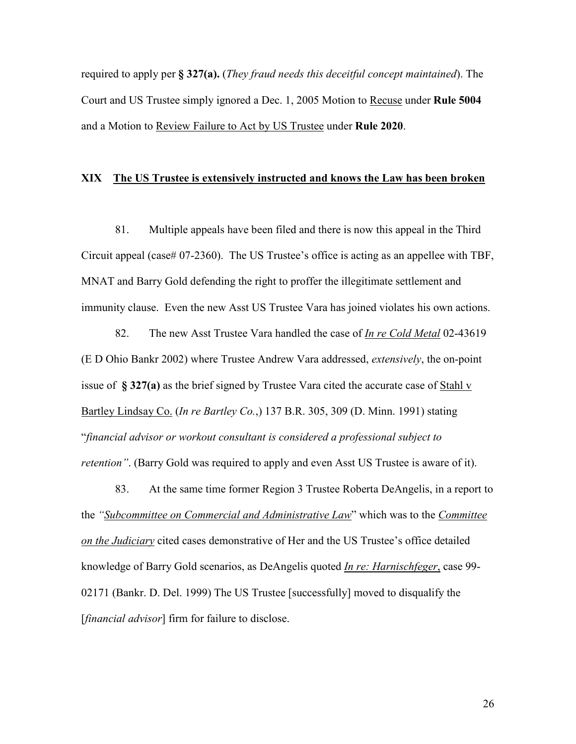required to apply per  $\S 327(a)$ . (They fraud needs this deceitful concept maintained). The Court and US Trustee simply ignored a Dec. 1, 2005 Motion to Recuse under Rule 5004 and a Motion to Review Failure to Act by US Trustee under Rule 2020.

### XIX The US Trustee is extensively instructed and knows the Law has been broken

 81. Multiple appeals have been filed and there is now this appeal in the Third Circuit appeal (case# 07-2360). The US Trustee's office is acting as an appellee with TBF, MNAT and Barry Gold defending the right to proffer the illegitimate settlement and immunity clause. Even the new Asst US Trustee Vara has joined violates his own actions.

82. The new Asst Trustee Vara handled the case of *In re Cold Metal* 02-43619 (E D Ohio Bankr 2002) where Trustee Andrew Vara addressed, extensively, the on-point issue of § 327(a) as the brief signed by Trustee Vara cited the accurate case of Stahl v Bartley Lindsay Co. (In re Bartley Co.,) 137 B.R. 305, 309 (D. Minn. 1991) stating "financial advisor or workout consultant is considered a professional subject to retention". (Barry Gold was required to apply and even Asst US Trustee is aware of it).

 83. At the same time former Region 3 Trustee Roberta DeAngelis, in a report to the "Subcommittee on Commercial and Administrative Law" which was to the Committee on the Judiciary cited cases demonstrative of Her and the US Trustee's office detailed knowledge of Barry Gold scenarios, as DeAngelis quoted In re: Harnischfeger, case 99- 02171 (Bankr. D. Del. 1999) The US Trustee [successfully] moved to disqualify the [*financial advisor*] firm for failure to disclose.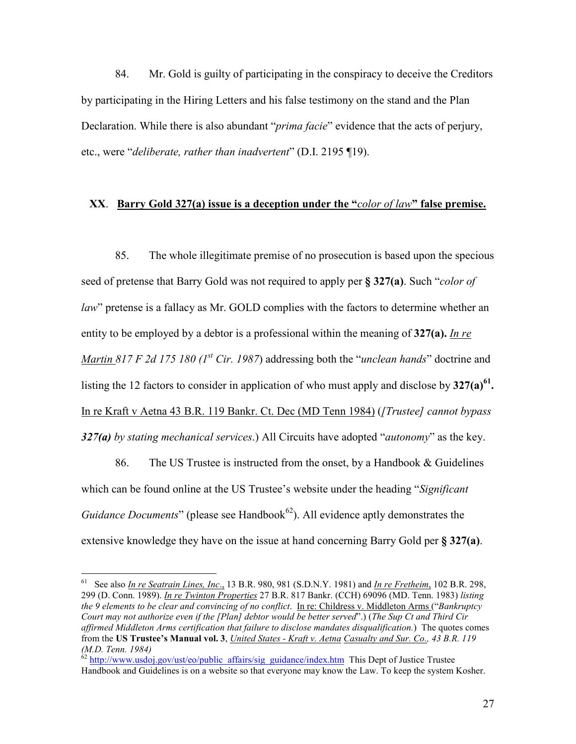84. Mr. Gold is guilty of participating in the conspiracy to deceive the Creditors by participating in the Hiring Letters and his false testimony on the stand and the Plan Declaration. While there is also abundant "*prima facie*" evidence that the acts of perjury, etc., were "deliberate, rather than inadvertent" (D.I. 2195 ¶19).

### XX. Barry Gold 327(a) issue is a deception under the "color of law" false premise.

 85. The whole illegitimate premise of no prosecution is based upon the specious seed of pretense that Barry Gold was not required to apply per § 327(a). Such "color of law" pretense is a fallacy as Mr. GOLD complies with the factors to determine whether an entity to be employed by a debtor is a professional within the meaning of  $327(a)$ . In re *Martin 817 F 2d 175 180 (1<sup>st</sup> Cir. 1987)* addressing both the "*unclean hands*" doctrine and listing the 12 factors to consider in application of who must apply and disclose by  $327(a)^{61}$ . In re Kraft v Aetna 43 B.R. 119 Bankr. Ct. Dec (MD Tenn 1984) ([Trustee] cannot bypass 327(a) by stating mechanical services.) All Circuits have adopted "autonomy" as the key.

86. The US Trustee is instructed from the onset, by a Handbook & Guidelines which can be found online at the US Trustee's website under the heading "Significant Guidance Documents" (please see Handbook<sup>62</sup>). All evidence aptly demonstrates the extensive knowledge they have on the issue at hand concerning Barry Gold per § 327(a).

<sup>&</sup>lt;sup>61</sup> See also *In re Seatrain Lines, Inc.*, 13 B.R. 980, 981 (S.D.N.Y. 1981) and *In re Fretheim*, 102 B.R. 298, 299 (D. Conn. 1989). In re Twinton Properties 27 B.R. 817 Bankr. (CCH) 69096 (MD. Tenn. 1983) listing the 9 elements to be clear and convincing of no conflict. In re: Childress v. Middleton Arms ("Bankruptcy") Court may not authorize even if the [Plan] debtor would be better served".) (The Sup Ct and Third Cir affirmed Middleton Arms certification that failure to disclose mandates disqualification.) The quotes comes from the US Trustee's Manual vol. 3, United States - Kraft v. Aetna Casualty and Sur. Co., 43 B.R. 119 (M.D. Tenn. 1984)

<sup>&</sup>lt;sup>62</sup> http://www.usdoj.gov/ust/eo/public\_affairs/sig\_guidance/index.htm This Dept of Justice Trustee Handbook and Guidelines is on a website so that everyone may know the Law. To keep the system Kosher.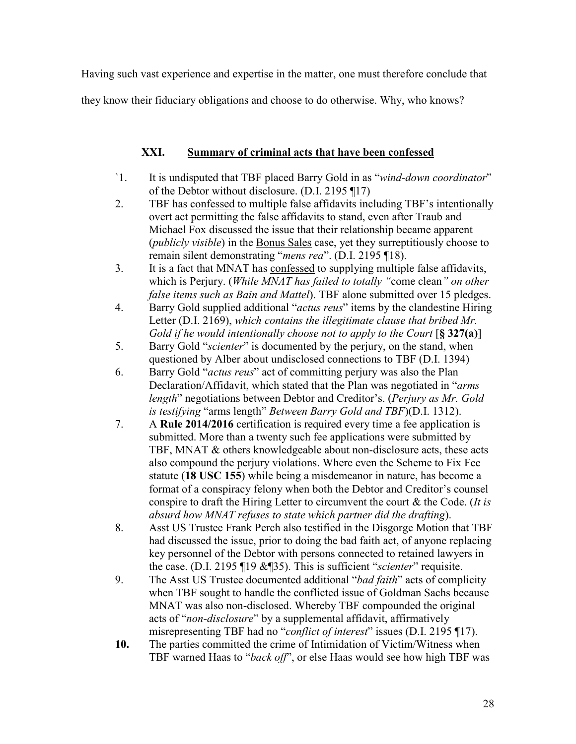Having such vast experience and expertise in the matter, one must therefore conclude that

they know their fiduciary obligations and choose to do otherwise. Why, who knows?

## XXI. Summary of criminal acts that have been confessed

- `1. It is undisputed that TBF placed Barry Gold in as "wind-down coordinator" of the Debtor without disclosure. (D.I. 2195 ¶17)
- 2. TBF has confessed to multiple false affidavits including TBF's intentionally overt act permitting the false affidavits to stand, even after Traub and Michael Fox discussed the issue that their relationship became apparent (publicly visible) in the Bonus Sales case, yet they surreptitiously choose to remain silent demonstrating "mens rea". (D.I. 2195 ¶18).
- 3. It is a fact that MNAT has confessed to supplying multiple false affidavits, which is Perjury. (While MNAT has failed to totally "come clean" on other false items such as Bain and Mattel). TBF alone submitted over 15 pledges.
- 4. Barry Gold supplied additional "*actus reus*" items by the clandestine Hiring Letter (D.I. 2169), which contains the illegitimate clause that bribed Mr. Gold if he would intentionally choose not to apply to the Court  $\lbrack \S 327(a) \rbrack$
- 5. Barry Gold "scienter" is documented by the perjury, on the stand, when questioned by Alber about undisclosed connections to TBF (D.I. 1394)
- 6. Barry Gold "actus reus" act of committing perjury was also the Plan Declaration/Affidavit, which stated that the Plan was negotiated in "arms length" negotiations between Debtor and Creditor's. (Perjury as Mr. Gold is testifying "arms length" Between Barry Gold and TBF)(D.I. 1312).
- 7. A Rule 2014/2016 certification is required every time a fee application is submitted. More than a twenty such fee applications were submitted by TBF, MNAT & others knowledgeable about non-disclosure acts, these acts also compound the perjury violations. Where even the Scheme to Fix Fee statute (18 USC 155) while being a misdemeanor in nature, has become a format of a conspiracy felony when both the Debtor and Creditor's counsel conspire to draft the Hiring Letter to circumvent the court  $\&$  the Code. (*It is* absurd how MNAT refuses to state which partner did the drafting).
- 8. Asst US Trustee Frank Perch also testified in the Disgorge Motion that TBF had discussed the issue, prior to doing the bad faith act, of anyone replacing key personnel of the Debtor with persons connected to retained lawyers in the case. (D.I. 2195 ¶19 &¶35). This is sufficient "*scienter*" requisite.
- 9. The Asst US Trustee documented additional "bad faith" acts of complicity when TBF sought to handle the conflicted issue of Goldman Sachs because MNAT was also non-disclosed. Whereby TBF compounded the original acts of "non-disclosure" by a supplemental affidavit, affirmatively misrepresenting TBF had no "*conflict of interest*" issues (D.I. 2195 ¶17).
- 10. The parties committed the crime of Intimidation of Victim/Witness when TBF warned Haas to "back off", or else Haas would see how high TBF was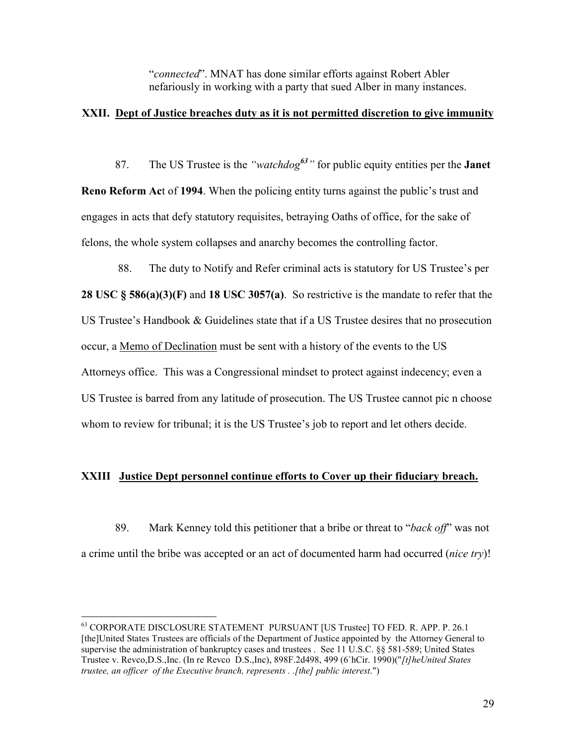"connected". MNAT has done similar efforts against Robert Abler nefariously in working with a party that sued Alber in many instances.

### XXII. Dept of Justice breaches duty as it is not permitted discretion to give immunity

87. The US Trustee is the "*watchdog*<sup>63</sup>" for public equity entities per the **Janet** Reno Reform Act of 1994. When the policing entity turns against the public's trust and engages in acts that defy statutory requisites, betraying Oaths of office, for the sake of felons, the whole system collapses and anarchy becomes the controlling factor.

 88. The duty to Notify and Refer criminal acts is statutory for US Trustee's per 28 USC § 586(a)(3)(F) and 18 USC 3057(a). So restrictive is the mandate to refer that the US Trustee's Handbook & Guidelines state that if a US Trustee desires that no prosecution occur, a Memo of Declination must be sent with a history of the events to the US Attorneys office. This was a Congressional mindset to protect against indecency; even a US Trustee is barred from any latitude of prosecution. The US Trustee cannot pic n choose whom to review for tribunal; it is the US Trustee's job to report and let others decide.

### XXIII Justice Dept personnel continue efforts to Cover up their fiduciary breach.

 89. Mark Kenney told this petitioner that a bribe or threat to "back off" was not a crime until the bribe was accepted or an act of documented harm had occurred (nice try)!

l

<sup>63</sup> CORPORATE DISCLOSURE STATEMENT PURSUANT [US Trustee] TO FED. R. APP. P. 26.1 [the]United States Trustees are officials of the Department of Justice appointed by the Attorney General to supervise the administration of bankruptcy cases and trustees . See 11 U.S.C. §§ 581-589; United States Trustee v. Revco,D.S.,Inc. (In re Revco D.S.,Inc), 898F.2d498, 499 (6`hCir. 1990)("[t]heUnited States trustee, an officer of the Executive branch, represents . .[the] public interest.")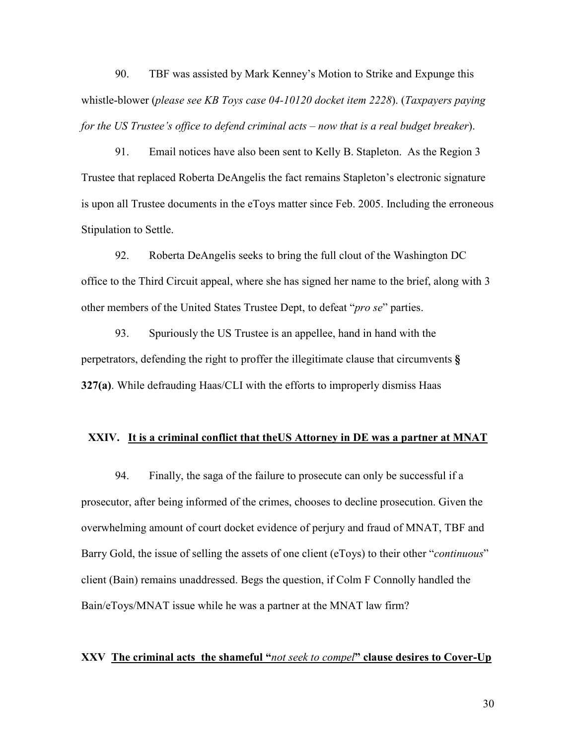90. TBF was assisted by Mark Kenney's Motion to Strike and Expunge this whistle-blower (please see KB Toys case 04-10120 docket item 2228). (Taxpayers paying for the US Trustee's office to defend criminal acts – now that is a real budget breaker).

 91. Email notices have also been sent to Kelly B. Stapleton. As the Region 3 Trustee that replaced Roberta DeAngelis the fact remains Stapleton's electronic signature is upon all Trustee documents in the eToys matter since Feb. 2005. Including the erroneous Stipulation to Settle.

 92. Roberta DeAngelis seeks to bring the full clout of the Washington DC office to the Third Circuit appeal, where she has signed her name to the brief, along with 3 other members of the United States Trustee Dept, to defeat "pro se" parties.

 93. Spuriously the US Trustee is an appellee, hand in hand with the perpetrators, defending the right to proffer the illegitimate clause that circumvents § 327(a). While defrauding Haas/CLI with the efforts to improperly dismiss Haas

#### XXIV. It is a criminal conflict that the US Attorney in DE was a partner at MNAT

 94. Finally, the saga of the failure to prosecute can only be successful if a prosecutor, after being informed of the crimes, chooses to decline prosecution. Given the overwhelming amount of court docket evidence of perjury and fraud of MNAT, TBF and Barry Gold, the issue of selling the assets of one client (eToys) to their other "*continuous*" client (Bain) remains unaddressed. Begs the question, if Colm F Connolly handled the Bain/eToys/MNAT issue while he was a partner at the MNAT law firm?

#### XXV The criminal acts the shameful "not seek to compel" clause desires to Cover-Up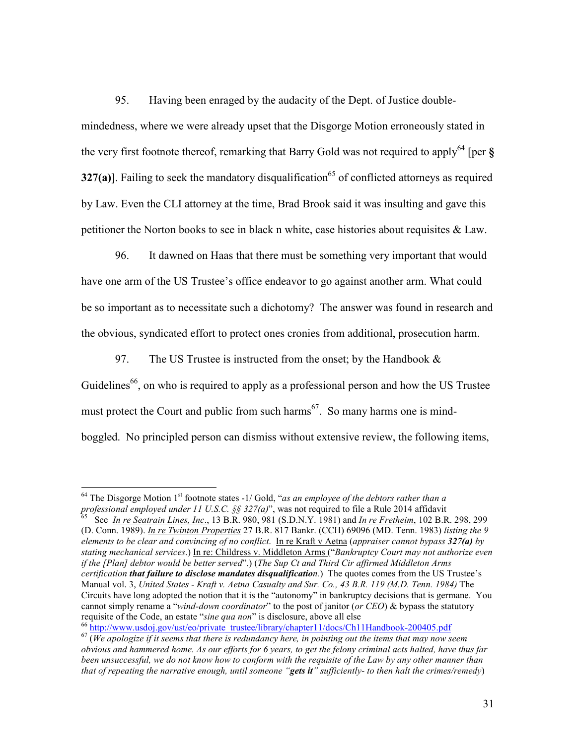95. Having been enraged by the audacity of the Dept. of Justice doublemindedness, where we were already upset that the Disgorge Motion erroneously stated in the very first footnote thereof, remarking that Barry Gold was not required to apply<sup>64</sup> [per  $\S$ ] 327(a)]. Failing to seek the mandatory disqualification<sup>65</sup> of conflicted attorneys as required by Law. Even the CLI attorney at the time, Brad Brook said it was insulting and gave this petitioner the Norton books to see in black n white, case histories about requisites & Law.

 96. It dawned on Haas that there must be something very important that would have one arm of the US Trustee's office endeavor to go against another arm. What could be so important as to necessitate such a dichotomy? The answer was found in research and the obvious, syndicated effort to protect ones cronies from additional, prosecution harm.

97. The US Trustee is instructed from the onset; by the Handbook  $\&$ Guidelines<sup>66</sup>, on who is required to apply as a professional person and how the US Trustee must protect the Court and public from such harms<sup>67</sup>. So many harms one is mindboggled. No principled person can dismiss without extensive review, the following items,

l

<sup>66</sup> http://www.usdoj.gov/ust/eo/private\_trustee/library/chapter11/docs/Ch11Handbook-200405.pdf

<sup>&</sup>lt;sup>64</sup> The Disgorge Motion 1<sup>st</sup> footnote states -1/ Gold, "as an employee of the debtors rather than a professional employed under 11 U.S.C.  $\S$   $\S$  327(a)", was not required to file a Rule 2014 affidavit  $\frac{65}{5}$  See In re Section Lines In a 13 B B  $\frac{65}{5}$  See In re Eustheim 102 B B

See In re Seatrain Lines, Inc., 13 B.R. 980, 981 (S.D.N.Y. 1981) and In re Fretheim, 102 B.R. 298, 299 (D. Conn. 1989). In re Twinton Properties 27 B.R. 817 Bankr. (CCH) 69096 (MD. Tenn. 1983) listing the 9 elements to be clear and convincing of no conflict. In re Kraft v Aetna (appraiser cannot bypass  $327(a)$  by stating mechanical services.) In re: Childress v. Middleton Arms ("Bankruptcy Court may not authorize even if the [Plan] debtor would be better served".) (The Sup Ct and Third Cir affirmed Middleton Arms certification that failure to disclose mandates disqualification.) The quotes comes from the US Trustee's Manual vol. 3, United States - Kraft v. Aetna Casualty and Sur. Co., 43 B.R. 119 (M.D. Tenn. 1984) The Circuits have long adopted the notion that it is the "autonomy" in bankruptcy decisions that is germane. You cannot simply rename a "wind-down coordinator" to the post of janitor (or CEO) & bypass the statutory requisite of the Code, an estate "sine qua non" is disclosure, above all else

 $67$  (We apologize if it seems that there is redundancy here, in pointing out the items that may now seem obvious and hammered home. As our efforts for 6 years, to get the felony criminal acts halted, have thus far been unsuccessful, we do not know how to conform with the requisite of the Law by any other manner than that of repeating the narrative enough, until someone "gets it" sufficiently- to then halt the crimes/remedy)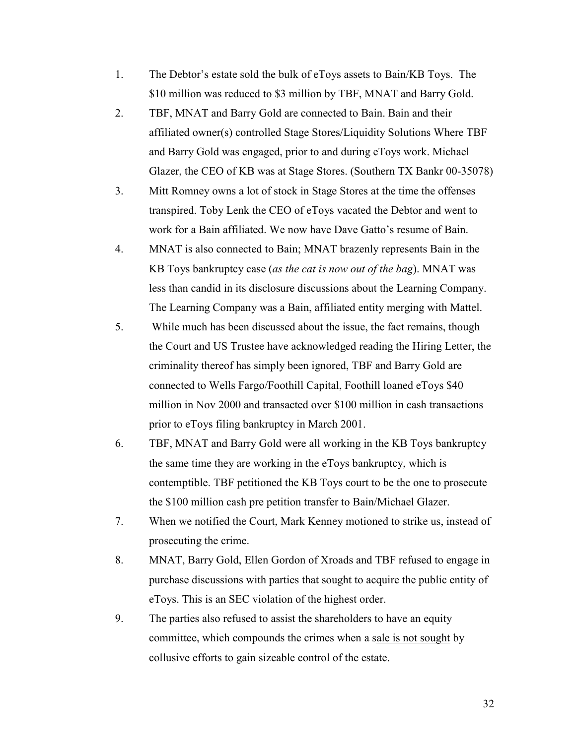- 1. The Debtor's estate sold the bulk of eToys assets to Bain/KB Toys. The \$10 million was reduced to \$3 million by TBF, MNAT and Barry Gold.
- 2. TBF, MNAT and Barry Gold are connected to Bain. Bain and their affiliated owner(s) controlled Stage Stores/Liquidity Solutions Where TBF and Barry Gold was engaged, prior to and during eToys work. Michael Glazer, the CEO of KB was at Stage Stores. (Southern TX Bankr 00-35078)
- 3. Mitt Romney owns a lot of stock in Stage Stores at the time the offenses transpired. Toby Lenk the CEO of eToys vacated the Debtor and went to work for a Bain affiliated. We now have Dave Gatto's resume of Bain.
- 4. MNAT is also connected to Bain; MNAT brazenly represents Bain in the KB Toys bankruptcy case (as the cat is now out of the bag). MNAT was less than candid in its disclosure discussions about the Learning Company. The Learning Company was a Bain, affiliated entity merging with Mattel.
- 5. While much has been discussed about the issue, the fact remains, though the Court and US Trustee have acknowledged reading the Hiring Letter, the criminality thereof has simply been ignored, TBF and Barry Gold are connected to Wells Fargo/Foothill Capital, Foothill loaned eToys \$40 million in Nov 2000 and transacted over \$100 million in cash transactions prior to eToys filing bankruptcy in March 2001.
- 6. TBF, MNAT and Barry Gold were all working in the KB Toys bankruptcy the same time they are working in the eToys bankruptcy, which is contemptible. TBF petitioned the KB Toys court to be the one to prosecute the \$100 million cash pre petition transfer to Bain/Michael Glazer.
- 7. When we notified the Court, Mark Kenney motioned to strike us, instead of prosecuting the crime.
- 8. MNAT, Barry Gold, Ellen Gordon of Xroads and TBF refused to engage in purchase discussions with parties that sought to acquire the public entity of eToys. This is an SEC violation of the highest order.
- 9. The parties also refused to assist the shareholders to have an equity committee, which compounds the crimes when a sale is not sought by collusive efforts to gain sizeable control of the estate.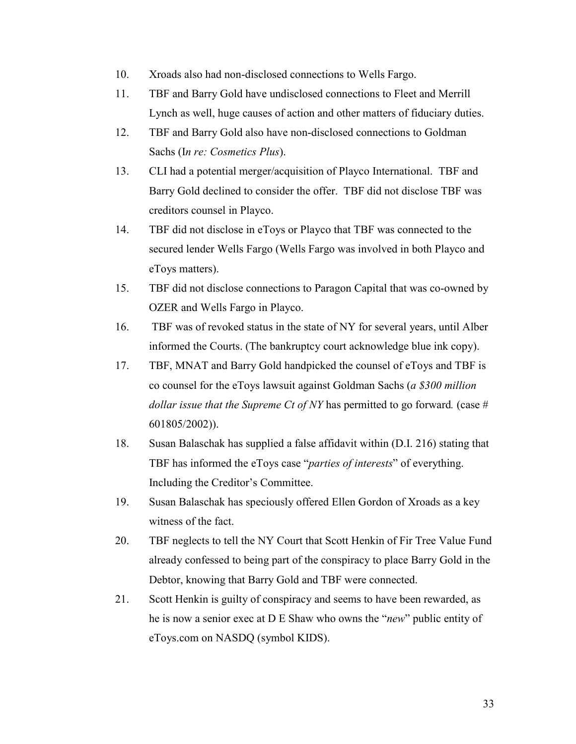- 10. Xroads also had non-disclosed connections to Wells Fargo.
- 11. TBF and Barry Gold have undisclosed connections to Fleet and Merrill Lynch as well, huge causes of action and other matters of fiduciary duties.
- 12. TBF and Barry Gold also have non-disclosed connections to Goldman Sachs (In re: Cosmetics Plus).
- 13. CLI had a potential merger/acquisition of Playco International. TBF and Barry Gold declined to consider the offer. TBF did not disclose TBF was creditors counsel in Playco.
- 14. TBF did not disclose in eToys or Playco that TBF was connected to the secured lender Wells Fargo (Wells Fargo was involved in both Playco and eToys matters).
- 15. TBF did not disclose connections to Paragon Capital that was co-owned by OZER and Wells Fargo in Playco.
- 16. TBF was of revoked status in the state of NY for several years, until Alber informed the Courts. (The bankruptcy court acknowledge blue ink copy).
- 17. TBF, MNAT and Barry Gold handpicked the counsel of eToys and TBF is co counsel for the eToys lawsuit against Goldman Sachs (a \$300 million dollar issue that the Supreme Ct of NY has permitted to go forward. (case # 601805/2002)).
- 18. Susan Balaschak has supplied a false affidavit within (D.I. 216) stating that TBF has informed the eToys case "parties of interests" of everything. Including the Creditor's Committee.
- 19. Susan Balaschak has speciously offered Ellen Gordon of Xroads as a key witness of the fact.
- 20. TBF neglects to tell the NY Court that Scott Henkin of Fir Tree Value Fund already confessed to being part of the conspiracy to place Barry Gold in the Debtor, knowing that Barry Gold and TBF were connected.
- 21. Scott Henkin is guilty of conspiracy and seems to have been rewarded, as he is now a senior exec at D E Shaw who owns the "new" public entity of eToys.com on NASDQ (symbol KIDS).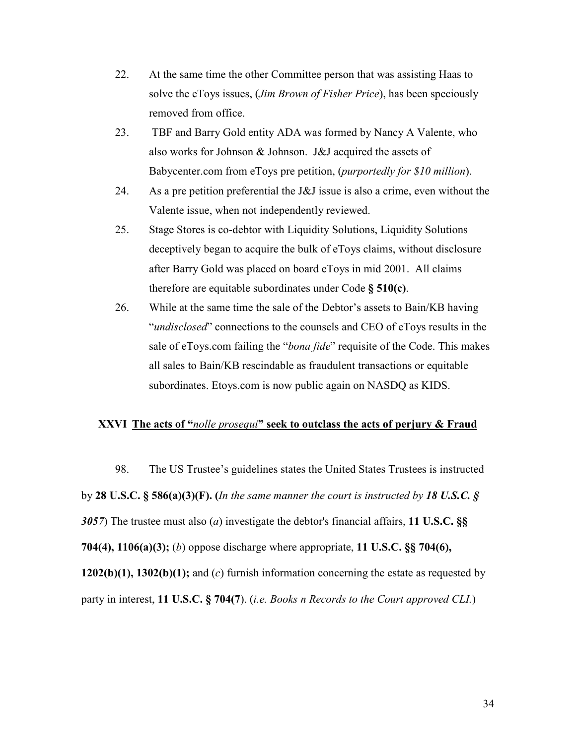- 22. At the same time the other Committee person that was assisting Haas to solve the eToys issues, *(Jim Brown of Fisher Price)*, has been speciously removed from office.
- 23. TBF and Barry Gold entity ADA was formed by Nancy A Valente, who also works for Johnson & Johnson. J&J acquired the assets of Babycenter.com from eToys pre petition, *(purportedly for \$10 million)*.
- 24. As a pre petition preferential the J&J issue is also a crime, even without the Valente issue, when not independently reviewed.
- 25. Stage Stores is co-debtor with Liquidity Solutions, Liquidity Solutions deceptively began to acquire the bulk of eToys claims, without disclosure after Barry Gold was placed on board eToys in mid 2001. All claims therefore are equitable subordinates under Code § 510(c).
- 26. While at the same time the sale of the Debtor's assets to Bain/KB having "undisclosed" connections to the counsels and CEO of eToys results in the sale of eToys.com failing the "*bona fide*" requisite of the Code. This makes all sales to Bain/KB rescindable as fraudulent transactions or equitable subordinates. Etoys.com is now public again on NASDQ as KIDS.

### XXVI The acts of "*nolle prosequi*" seek to outclass the acts of perjury & Fraud

98. The US Trustee's guidelines states the United States Trustees is instructed by 28 U.S.C. § 586(a)(3)(F). (In the same manner the court is instructed by 18 U.S.C. § 3057) The trustee must also (*a*) investigate the debtor's financial affairs, 11 U.S.C.  $\S$ § 704(4), 1106(a)(3); (b) oppose discharge where appropriate, 11 U.S.C. §§ 704(6), 1202(b)(1), 1302(b)(1); and (c) furnish information concerning the estate as requested by party in interest, 11 U.S.C. § 704(7). (*i.e. Books n Records to the Court approved CLI.*)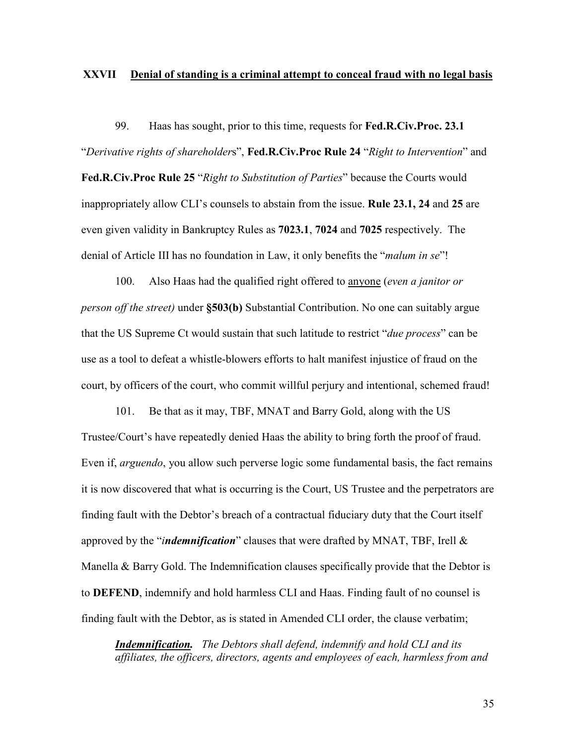### XXVII Denial of standing is a criminal attempt to conceal fraud with no legal basis

99. Haas has sought, prior to this time, requests for Fed.R.Civ.Proc. 23.1 "Derivative rights of shareholders", **Fed.R.Civ.Proc Rule 24** "Right to Intervention" and Fed.R.Civ.Proc Rule 25 "Right to Substitution of Parties" because the Courts would inappropriately allow CLI's counsels to abstain from the issue. Rule 23.1, 24 and 25 are even given validity in Bankruptcy Rules as 7023.1, 7024 and 7025 respectively. The denial of Article III has no foundation in Law, it only benefits the "malum in se"!

 100. Also Haas had the qualified right offered to anyone (even a janitor or person off the street) under §503(b) Substantial Contribution. No one can suitably argue that the US Supreme Ct would sustain that such latitude to restrict "due process" can be use as a tool to defeat a whistle-blowers efforts to halt manifest injustice of fraud on the court, by officers of the court, who commit willful perjury and intentional, schemed fraud!

 101. Be that as it may, TBF, MNAT and Barry Gold, along with the US Trustee/Court's have repeatedly denied Haas the ability to bring forth the proof of fraud. Even if, arguendo, you allow such perverse logic some fundamental basis, the fact remains it is now discovered that what is occurring is the Court, US Trustee and the perpetrators are finding fault with the Debtor's breach of a contractual fiduciary duty that the Court itself approved by the "*indemnification*" clauses that were drafted by MNAT, TBF, Irell  $\&$ Manella & Barry Gold. The Indemnification clauses specifically provide that the Debtor is to DEFEND, indemnify and hold harmless CLI and Haas. Finding fault of no counsel is finding fault with the Debtor, as is stated in Amended CLI order, the clause verbatim;

**Indemnification.** The Debtors shall defend, indemnify and hold CLI and its affiliates, the officers, directors, agents and employees of each, harmless from and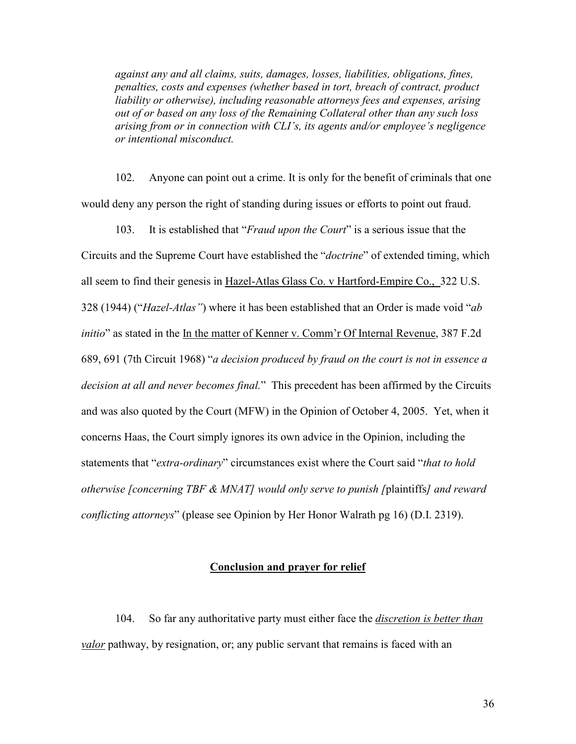against any and all claims, suits, damages, losses, liabilities, obligations, fines, penalties, costs and expenses (whether based in tort, breach of contract, product liability or otherwise), including reasonable attorneys fees and expenses, arising out of or based on any loss of the Remaining Collateral other than any such loss arising from or in connection with CLI's, its agents and/or employee's negligence or intentional misconduct.

 102. Anyone can point out a crime. It is only for the benefit of criminals that one would deny any person the right of standing during issues or efforts to point out fraud.

103. It is established that "Fraud upon the Court" is a serious issue that the Circuits and the Supreme Court have established the "doctrine" of extended timing, which all seem to find their genesis in Hazel-Atlas Glass Co. v Hartford-Empire Co., 322 U.S. 328 (1944) ("Hazel-Atlas") where it has been established that an Order is made void "ab initio" as stated in the In the matter of Kenner v. Comm'r Of Internal Revenue, 387 F.2d 689, 691 (7th Circuit 1968) "a decision produced by fraud on the court is not in essence a decision at all and never becomes final." This precedent has been affirmed by the Circuits and was also quoted by the Court (MFW) in the Opinion of October 4, 2005. Yet, when it concerns Haas, the Court simply ignores its own advice in the Opinion, including the statements that "extra-ordinary" circumstances exist where the Court said "that to hold otherwise [concerning TBF  $\&$  MNAT] would only serve to punish [plaintiffs] and reward conflicting attorneys" (please see Opinion by Her Honor Walrath pg 16) (D.I. 2319).

### Conclusion and prayer for relief

 104. So far any authoritative party must either face the discretion is better than valor pathway, by resignation, or; any public servant that remains is faced with an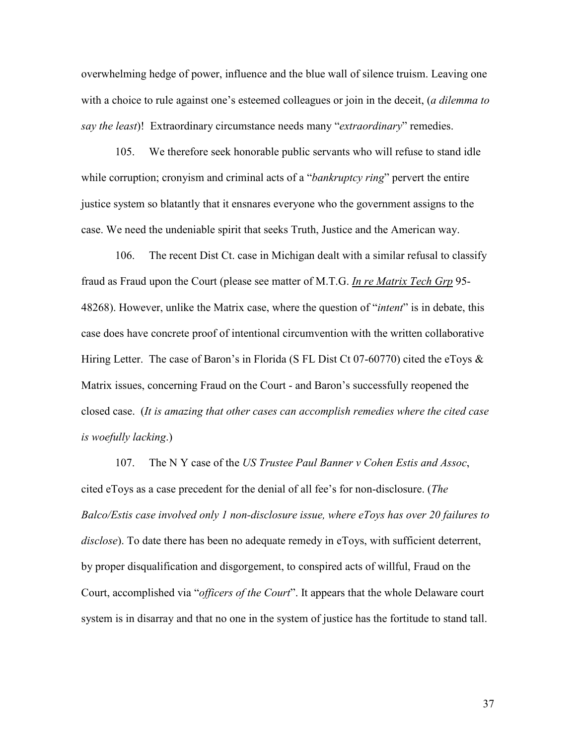overwhelming hedge of power, influence and the blue wall of silence truism. Leaving one with a choice to rule against one's esteemed colleagues or join in the deceit, (a dilemma to say the least)! Extraordinary circumstance needs many "extraordinary" remedies.

 105. We therefore seek honorable public servants who will refuse to stand idle while corruption; cronyism and criminal acts of a "*bankruptcy ring*" pervert the entire justice system so blatantly that it ensnares everyone who the government assigns to the case. We need the undeniable spirit that seeks Truth, Justice and the American way.

 106. The recent Dist Ct. case in Michigan dealt with a similar refusal to classify fraud as Fraud upon the Court (please see matter of M.T.G. In re Matrix Tech Grp 95- 48268). However, unlike the Matrix case, where the question of "*intent*" is in debate, this case does have concrete proof of intentional circumvention with the written collaborative Hiring Letter. The case of Baron's in Florida (S FL Dist Ct 07-60770) cited the eToys & Matrix issues, concerning Fraud on the Court - and Baron's successfully reopened the closed case. (It is amazing that other cases can accomplish remedies where the cited case is woefully lacking.)

107. The N Y case of the US Trustee Paul Banner v Cohen Estis and Assoc, cited eToys as a case precedent for the denial of all fee's for non-disclosure. (The Balco/Estis case involved only 1 non-disclosure issue, where eToys has over 20 failures to disclose). To date there has been no adequate remedy in eToys, with sufficient deterrent, by proper disqualification and disgorgement, to conspired acts of willful, Fraud on the Court, accomplished via "officers of the Court". It appears that the whole Delaware court system is in disarray and that no one in the system of justice has the fortitude to stand tall.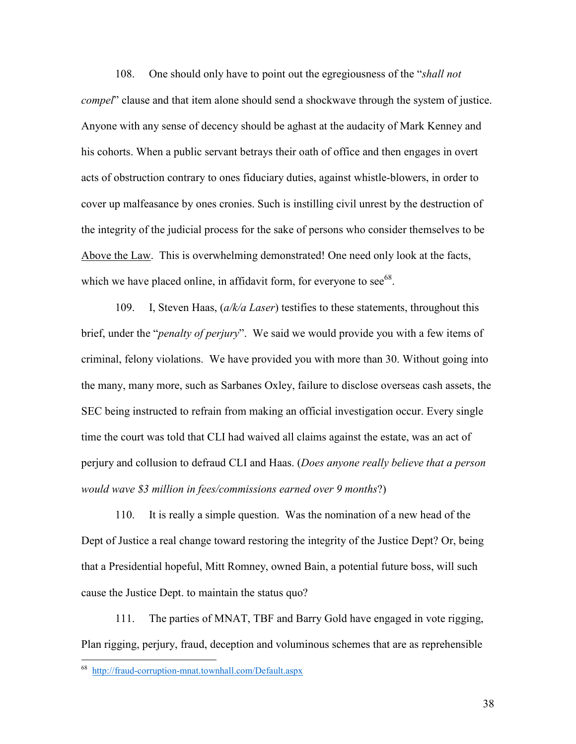108. One should only have to point out the egregiousness of the "shall not compel" clause and that item alone should send a shockwave through the system of justice. Anyone with any sense of decency should be aghast at the audacity of Mark Kenney and his cohorts. When a public servant betrays their oath of office and then engages in overt acts of obstruction contrary to ones fiduciary duties, against whistle-blowers, in order to cover up malfeasance by ones cronies. Such is instilling civil unrest by the destruction of the integrity of the judicial process for the sake of persons who consider themselves to be Above the Law. This is overwhelming demonstrated! One need only look at the facts, which we have placed online, in affidavit form, for everyone to see  $68$ .

109. I, Steven Haas,  $\left(a/k/a$  Laser) testifies to these statements, throughout this brief, under the "*penalty of perjury*". We said we would provide you with a few items of criminal, felony violations. We have provided you with more than 30. Without going into the many, many more, such as Sarbanes Oxley, failure to disclose overseas cash assets, the SEC being instructed to refrain from making an official investigation occur. Every single time the court was told that CLI had waived all claims against the estate, was an act of perjury and collusion to defraud CLI and Haas. (Does anyone really believe that a person would wave \$3 million in fees/commissions earned over 9 months?)

 110. It is really a simple question. Was the nomination of a new head of the Dept of Justice a real change toward restoring the integrity of the Justice Dept? Or, being that a Presidential hopeful, Mitt Romney, owned Bain, a potential future boss, will such cause the Justice Dept. to maintain the status quo?

 111. The parties of MNAT, TBF and Barry Gold have engaged in vote rigging, Plan rigging, perjury, fraud, deception and voluminous schemes that are as reprehensible

 68 http://fraud-corruption-mnat.townhall.com/Default.aspx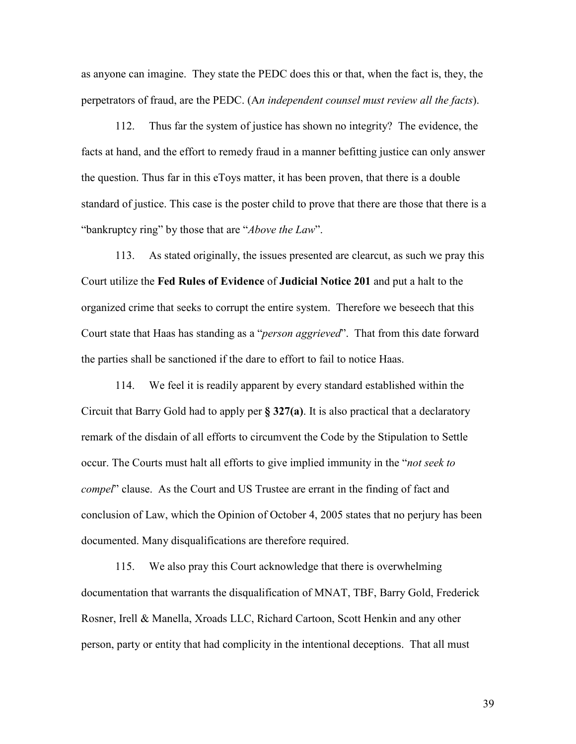as anyone can imagine. They state the PEDC does this or that, when the fact is, they, the perpetrators of fraud, are the PEDC. (An independent counsel must review all the facts).

 112. Thus far the system of justice has shown no integrity? The evidence, the facts at hand, and the effort to remedy fraud in a manner befitting justice can only answer the question. Thus far in this eToys matter, it has been proven, that there is a double standard of justice. This case is the poster child to prove that there are those that there is a "bankruptcy ring" by those that are "*Above the Law*".

 113. As stated originally, the issues presented are clearcut, as such we pray this Court utilize the Fed Rules of Evidence of Judicial Notice 201 and put a halt to the organized crime that seeks to corrupt the entire system. Therefore we beseech that this Court state that Haas has standing as a "person aggrieved". That from this date forward the parties shall be sanctioned if the dare to effort to fail to notice Haas.

 114. We feel it is readily apparent by every standard established within the Circuit that Barry Gold had to apply per § 327(a). It is also practical that a declaratory remark of the disdain of all efforts to circumvent the Code by the Stipulation to Settle occur. The Courts must halt all efforts to give implied immunity in the "not seek to compel" clause. As the Court and US Trustee are errant in the finding of fact and conclusion of Law, which the Opinion of October 4, 2005 states that no perjury has been documented. Many disqualifications are therefore required.

 115. We also pray this Court acknowledge that there is overwhelming documentation that warrants the disqualification of MNAT, TBF, Barry Gold, Frederick Rosner, Irell & Manella, Xroads LLC, Richard Cartoon, Scott Henkin and any other person, party or entity that had complicity in the intentional deceptions. That all must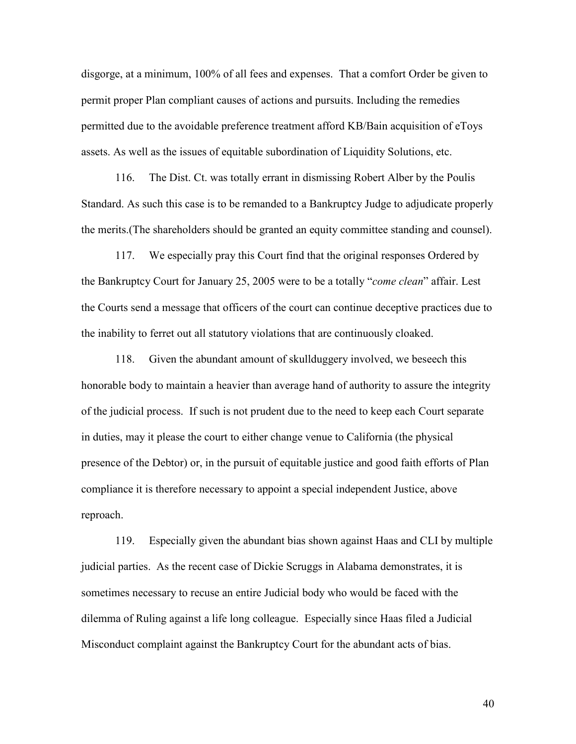disgorge, at a minimum, 100% of all fees and expenses. That a comfort Order be given to permit proper Plan compliant causes of actions and pursuits. Including the remedies permitted due to the avoidable preference treatment afford KB/Bain acquisition of eToys assets. As well as the issues of equitable subordination of Liquidity Solutions, etc.

 116. The Dist. Ct. was totally errant in dismissing Robert Alber by the Poulis Standard. As such this case is to be remanded to a Bankruptcy Judge to adjudicate properly the merits.(The shareholders should be granted an equity committee standing and counsel).

 117. We especially pray this Court find that the original responses Ordered by the Bankruptcy Court for January 25, 2005 were to be a totally "come clean" affair. Lest the Courts send a message that officers of the court can continue deceptive practices due to the inability to ferret out all statutory violations that are continuously cloaked.

 118. Given the abundant amount of skullduggery involved, we beseech this honorable body to maintain a heavier than average hand of authority to assure the integrity of the judicial process. If such is not prudent due to the need to keep each Court separate in duties, may it please the court to either change venue to California (the physical presence of the Debtor) or, in the pursuit of equitable justice and good faith efforts of Plan compliance it is therefore necessary to appoint a special independent Justice, above reproach.

 119. Especially given the abundant bias shown against Haas and CLI by multiple judicial parties. As the recent case of Dickie Scruggs in Alabama demonstrates, it is sometimes necessary to recuse an entire Judicial body who would be faced with the dilemma of Ruling against a life long colleague. Especially since Haas filed a Judicial Misconduct complaint against the Bankruptcy Court for the abundant acts of bias.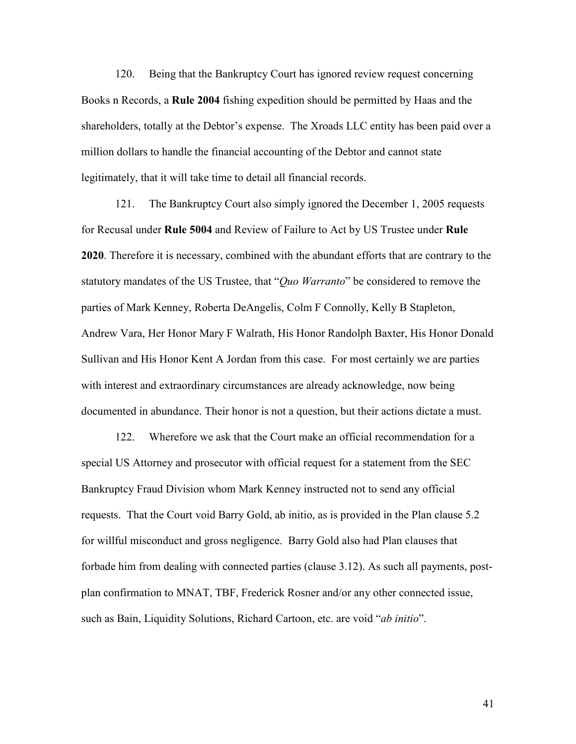120. Being that the Bankruptcy Court has ignored review request concerning Books n Records, a Rule 2004 fishing expedition should be permitted by Haas and the shareholders, totally at the Debtor's expense. The Xroads LLC entity has been paid over a million dollars to handle the financial accounting of the Debtor and cannot state legitimately, that it will take time to detail all financial records.

 121. The Bankruptcy Court also simply ignored the December 1, 2005 requests for Recusal under Rule 5004 and Review of Failure to Act by US Trustee under Rule 2020. Therefore it is necessary, combined with the abundant efforts that are contrary to the statutory mandates of the US Trustee, that "*Ouo Warranto*" be considered to remove the parties of Mark Kenney, Roberta DeAngelis, Colm F Connolly, Kelly B Stapleton, Andrew Vara, Her Honor Mary F Walrath, His Honor Randolph Baxter, His Honor Donald Sullivan and His Honor Kent A Jordan from this case. For most certainly we are parties with interest and extraordinary circumstances are already acknowledge, now being documented in abundance. Their honor is not a question, but their actions dictate a must.

 122. Wherefore we ask that the Court make an official recommendation for a special US Attorney and prosecutor with official request for a statement from the SEC Bankruptcy Fraud Division whom Mark Kenney instructed not to send any official requests. That the Court void Barry Gold, ab initio, as is provided in the Plan clause 5.2 for willful misconduct and gross negligence. Barry Gold also had Plan clauses that forbade him from dealing with connected parties (clause 3.12). As such all payments, postplan confirmation to MNAT, TBF, Frederick Rosner and/or any other connected issue, such as Bain, Liquidity Solutions, Richard Cartoon, etc. are void "ab initio".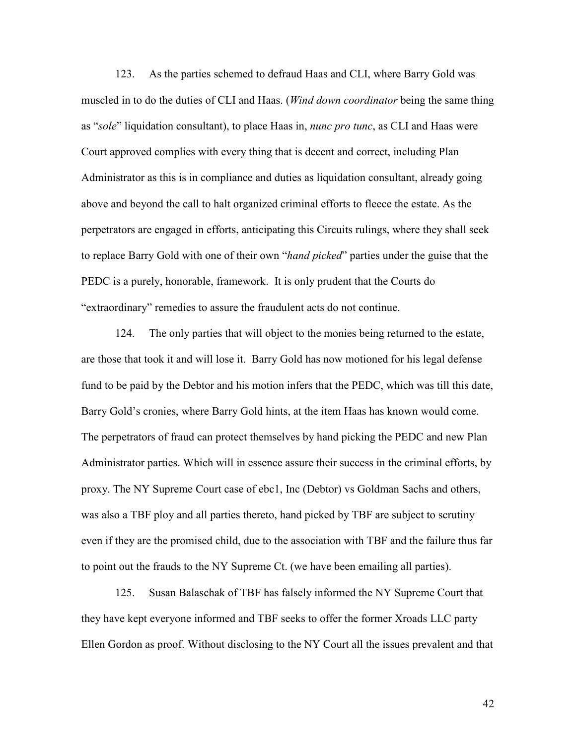123. As the parties schemed to defraud Haas and CLI, where Barry Gold was muscled in to do the duties of CLI and Haas. (*Wind down coordinator* being the same thing as "sole" liquidation consultant), to place Haas in, *nunc pro tunc*, as CLI and Haas were Court approved complies with every thing that is decent and correct, including Plan Administrator as this is in compliance and duties as liquidation consultant, already going above and beyond the call to halt organized criminal efforts to fleece the estate. As the perpetrators are engaged in efforts, anticipating this Circuits rulings, where they shall seek to replace Barry Gold with one of their own "hand picked" parties under the guise that the PEDC is a purely, honorable, framework. It is only prudent that the Courts do "extraordinary" remedies to assure the fraudulent acts do not continue.

 124. The only parties that will object to the monies being returned to the estate, are those that took it and will lose it. Barry Gold has now motioned for his legal defense fund to be paid by the Debtor and his motion infers that the PEDC, which was till this date, Barry Gold's cronies, where Barry Gold hints, at the item Haas has known would come. The perpetrators of fraud can protect themselves by hand picking the PEDC and new Plan Administrator parties. Which will in essence assure their success in the criminal efforts, by proxy. The NY Supreme Court case of ebc1, Inc (Debtor) vs Goldman Sachs and others, was also a TBF ploy and all parties thereto, hand picked by TBF are subject to scrutiny even if they are the promised child, due to the association with TBF and the failure thus far to point out the frauds to the NY Supreme Ct. (we have been emailing all parties).

 125. Susan Balaschak of TBF has falsely informed the NY Supreme Court that they have kept everyone informed and TBF seeks to offer the former Xroads LLC party Ellen Gordon as proof. Without disclosing to the NY Court all the issues prevalent and that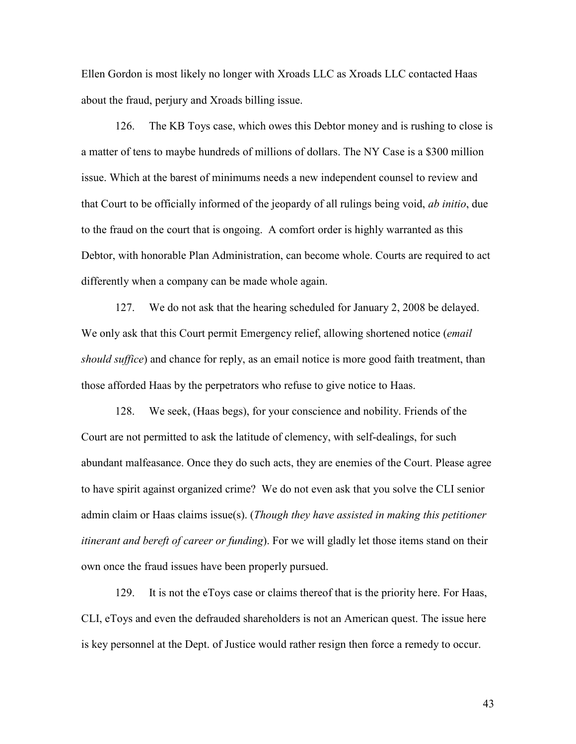Ellen Gordon is most likely no longer with Xroads LLC as Xroads LLC contacted Haas about the fraud, perjury and Xroads billing issue.

 126. The KB Toys case, which owes this Debtor money and is rushing to close is a matter of tens to maybe hundreds of millions of dollars. The NY Case is a \$300 million issue. Which at the barest of minimums needs a new independent counsel to review and that Court to be officially informed of the jeopardy of all rulings being void, ab initio, due to the fraud on the court that is ongoing. A comfort order is highly warranted as this Debtor, with honorable Plan Administration, can become whole. Courts are required to act differently when a company can be made whole again.

 127. We do not ask that the hearing scheduled for January 2, 2008 be delayed. We only ask that this Court permit Emergency relief, allowing shortened notice (*email*) should suffice) and chance for reply, as an email notice is more good faith treatment, than those afforded Haas by the perpetrators who refuse to give notice to Haas.

 128. We seek, (Haas begs), for your conscience and nobility. Friends of the Court are not permitted to ask the latitude of clemency, with self-dealings, for such abundant malfeasance. Once they do such acts, they are enemies of the Court. Please agree to have spirit against organized crime? We do not even ask that you solve the CLI senior admin claim or Haas claims issue(s). (Though they have assisted in making this petitioner itinerant and bereft of career or funding). For we will gladly let those items stand on their own once the fraud issues have been properly pursued.

 129. It is not the eToys case or claims thereof that is the priority here. For Haas, CLI, eToys and even the defrauded shareholders is not an American quest. The issue here is key personnel at the Dept. of Justice would rather resign then force a remedy to occur.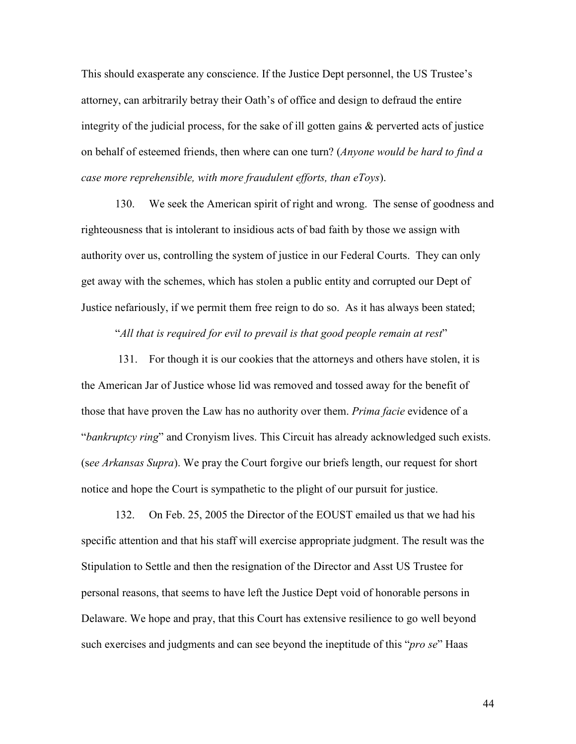This should exasperate any conscience. If the Justice Dept personnel, the US Trustee's attorney, can arbitrarily betray their Oath's of office and design to defraud the entire integrity of the judicial process, for the sake of ill gotten gains & perverted acts of justice on behalf of esteemed friends, then where can one turn? (Anyone would be hard to find a case more reprehensible, with more fraudulent efforts, than eToys).

 130. We seek the American spirit of right and wrong. The sense of goodness and righteousness that is intolerant to insidious acts of bad faith by those we assign with authority over us, controlling the system of justice in our Federal Courts. They can only get away with the schemes, which has stolen a public entity and corrupted our Dept of Justice nefariously, if we permit them free reign to do so. As it has always been stated;

"All that is required for evil to prevail is that good people remain at rest"

 131. For though it is our cookies that the attorneys and others have stolen, it is the American Jar of Justice whose lid was removed and tossed away for the benefit of those that have proven the Law has no authority over them. *Prima facie* evidence of a "bankruptcy ring" and Cronyism lives. This Circuit has already acknowledged such exists. (see Arkansas Supra). We pray the Court forgive our briefs length, our request for short notice and hope the Court is sympathetic to the plight of our pursuit for justice.

 132. On Feb. 25, 2005 the Director of the EOUST emailed us that we had his specific attention and that his staff will exercise appropriate judgment. The result was the Stipulation to Settle and then the resignation of the Director and Asst US Trustee for personal reasons, that seems to have left the Justice Dept void of honorable persons in Delaware. We hope and pray, that this Court has extensive resilience to go well beyond such exercises and judgments and can see beyond the ineptitude of this "*pro se*" Haas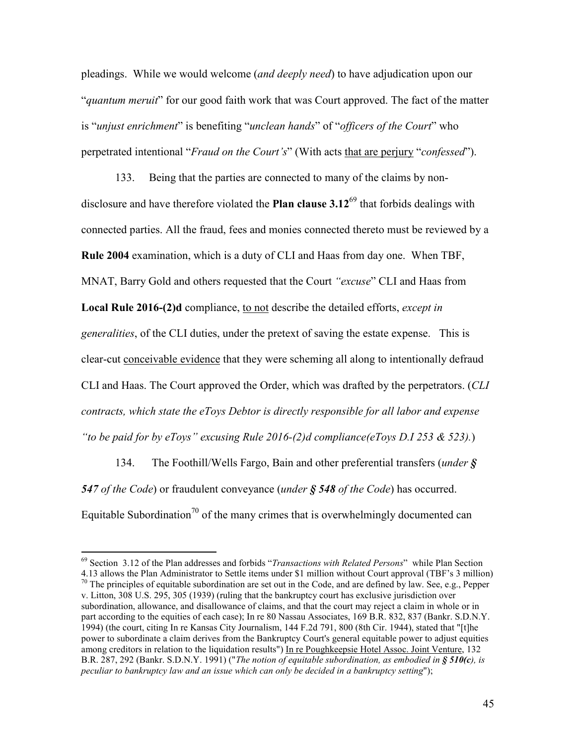pleadings. While we would welcome (and deeply need) to have adjudication upon our "*quantum meruit*" for our good faith work that was Court approved. The fact of the matter is "unjust enrichment" is benefiting "unclean hands" of "officers of the Court" who perpetrated intentional "*Fraud on the Court's*" (With acts that are perjury "*confessed*").

 133. Being that the parties are connected to many of the claims by nondisclosure and have therefore violated the **Plan clause 3.12**<sup>69</sup> that forbids dealings with connected parties. All the fraud, fees and monies connected thereto must be reviewed by a Rule 2004 examination, which is a duty of CLI and Haas from day one. When TBF, MNAT, Barry Gold and others requested that the Court "excuse" CLI and Haas from Local Rule 2016-(2)d compliance, to not describe the detailed efforts, except in generalities, of the CLI duties, under the pretext of saving the estate expense. This is clear-cut conceivable evidence that they were scheming all along to intentionally defraud CLI and Haas. The Court approved the Order, which was drafted by the perpetrators. (CLI contracts, which state the eToys Debtor is directly responsible for all labor and expense "to be paid for by eToys" excusing Rule 2016-(2)d compliance(eToys D.I 253  $\&$  523).)

 134. The Foothill/Wells Fargo, Bain and other preferential transfers (under § 547 of the Code) or fraudulent conveyance (*under*  $\frac{1}{5}$  548 of the Code) has occurred. Equitable Subordination<sup>70</sup> of the many crimes that is overwhelmingly documented can

l

 $^{69}$  Section 3.12 of the Plan addresses and forbids "*Transactions with Related Persons*" while Plan Section

<sup>4.13</sup> allows the Plan Administrator to Settle items under \$1 million without Court approval (TBF's 3 million)  $70$  The principles of equitable subordination are set out in the Code, and are defined by law. See, e.g., Pepper v. Litton, 308 U.S. 295, 305 (1939) (ruling that the bankruptcy court has exclusive jurisdiction over subordination, allowance, and disallowance of claims, and that the court may reject a claim in whole or in part according to the equities of each case); In re 80 Nassau Associates, 169 B.R. 832, 837 (Bankr. S.D.N.Y. 1994) (the court, citing In re Kansas City Journalism, 144 F.2d 791, 800 (8th Cir. 1944), stated that "[t]he power to subordinate a claim derives from the Bankruptcy Court's general equitable power to adjust equities among creditors in relation to the liquidation results") In re Poughkeepsie Hotel Assoc. Joint Venture, 132 B.R. 287, 292 (Bankr. S.D.N.Y. 1991) ("The notion of equitable subordination, as embodied in § 510(c), is peculiar to bankruptcy law and an issue which can only be decided in a bankruptcy setting");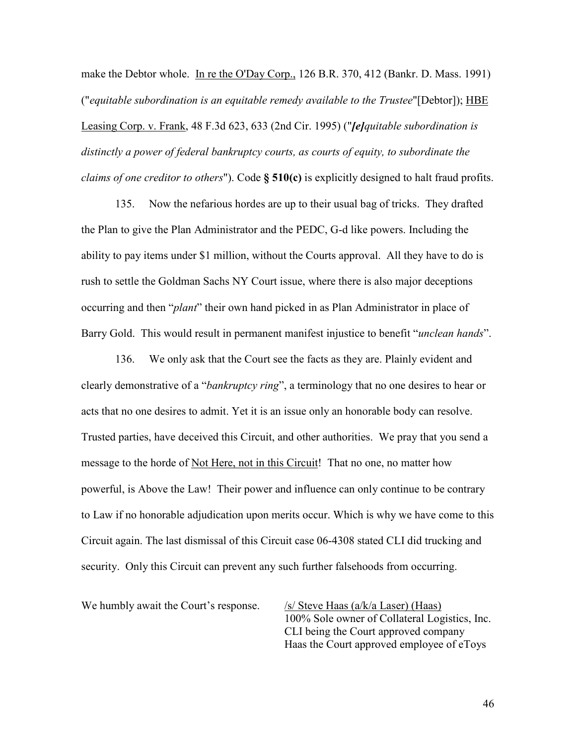make the Debtor whole. In re the O'Day Corp., 126 B.R. 370, 412 (Bankr. D. Mass. 1991) ("equitable subordination is an equitable remedy available to the Trustee"[Debtor]); HBE Leasing Corp. v. Frank, 48 F.3d 623, 633 (2nd Cir. 1995) ("[e]quitable subordination is distinctly a power of federal bankruptcy courts, as courts of equity, to subordinate the *claims of one creditor to others*"). Code  $\S$  510(c) is explicitly designed to halt fraud profits.

 135. Now the nefarious hordes are up to their usual bag of tricks. They drafted the Plan to give the Plan Administrator and the PEDC, G-d like powers. Including the ability to pay items under \$1 million, without the Courts approval. All they have to do is rush to settle the Goldman Sachs NY Court issue, where there is also major deceptions occurring and then "plant" their own hand picked in as Plan Administrator in place of Barry Gold. This would result in permanent manifest injustice to benefit "*unclean hands*".

 136. We only ask that the Court see the facts as they are. Plainly evident and clearly demonstrative of a "bankruptcy ring", a terminology that no one desires to hear or acts that no one desires to admit. Yet it is an issue only an honorable body can resolve. Trusted parties, have deceived this Circuit, and other authorities. We pray that you send a message to the horde of Not Here, not in this Circuit! That no one, no matter how powerful, is Above the Law! Their power and influence can only continue to be contrary to Law if no honorable adjudication upon merits occur. Which is why we have come to this Circuit again. The last dismissal of this Circuit case 06-4308 stated CLI did trucking and security. Only this Circuit can prevent any such further falsehoods from occurring.

We humbly await the Court's response.  $\frac{1}{s}$  Steve Haas (a/k/a Laser) (Haas)

100% Sole owner of Collateral Logistics, Inc. CLI being the Court approved company Haas the Court approved employee of eToys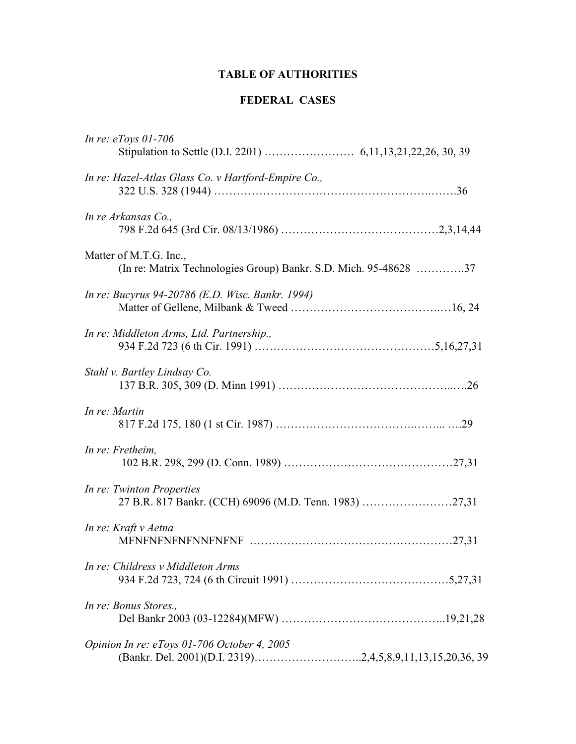# TABLE OF AUTHORITIES

## FEDERAL CASES

| In re: $eTovs$ 01-706                                                                      |  |
|--------------------------------------------------------------------------------------------|--|
| In re: Hazel-Atlas Glass Co. v Hartford-Empire Co.,                                        |  |
| In re Arkansas Co.,                                                                        |  |
| Matter of M.T.G. Inc.,<br>(In re: Matrix Technologies Group) Bankr. S.D. Mich. 95-48628 37 |  |
| In re: Bucyrus 94-20786 (E.D. Wisc. Bankr. 1994)                                           |  |
| In re: Middleton Arms, Ltd. Partnership.,                                                  |  |
| Stahl v. Bartley Lindsay Co.                                                               |  |
| In re: Martin                                                                              |  |
| In re: Fretheim,                                                                           |  |
| In re: Twinton Properties<br>27 B.R. 817 Bankr. (CCH) 69096 (M.D. Tenn. 1983) 27,31        |  |
| In re: Kraft v Aetna                                                                       |  |
| In re: Childress v Middleton Arms                                                          |  |
| In re: Bonus Stores.,                                                                      |  |
| Opinion In re: eToys 01-706 October 4, 2005                                                |  |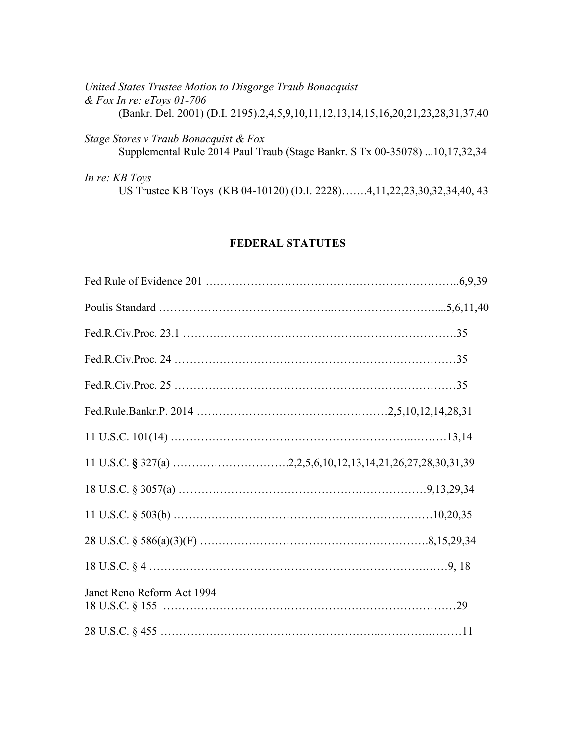| United States Trustee Motion to Disgorge Traub Bonacquist<br>& Fox In re: eToys 01-706                              |
|---------------------------------------------------------------------------------------------------------------------|
|                                                                                                                     |
| (Bankr. Del. 2001) (D.I. 2195).2,4,5,9,10,11,12,13,14,15,16,20,21,23,28,31,37,40                                    |
| Stage Stores v Traub Bonacquist & Fox<br>Supplemental Rule 2014 Paul Traub (Stage Bankr. S Tx 00-35078) 10,17,32,34 |
| <i>In re: KB Toys</i>                                                                                               |

US Trustee KB Toys (KB 04-10120) (D.I. 2228)…….4,11,22,23,30,32,34,40, 43

## FEDERAL STATUTES

| Janet Reno Reform Act 1994 |  |
|----------------------------|--|
|                            |  |